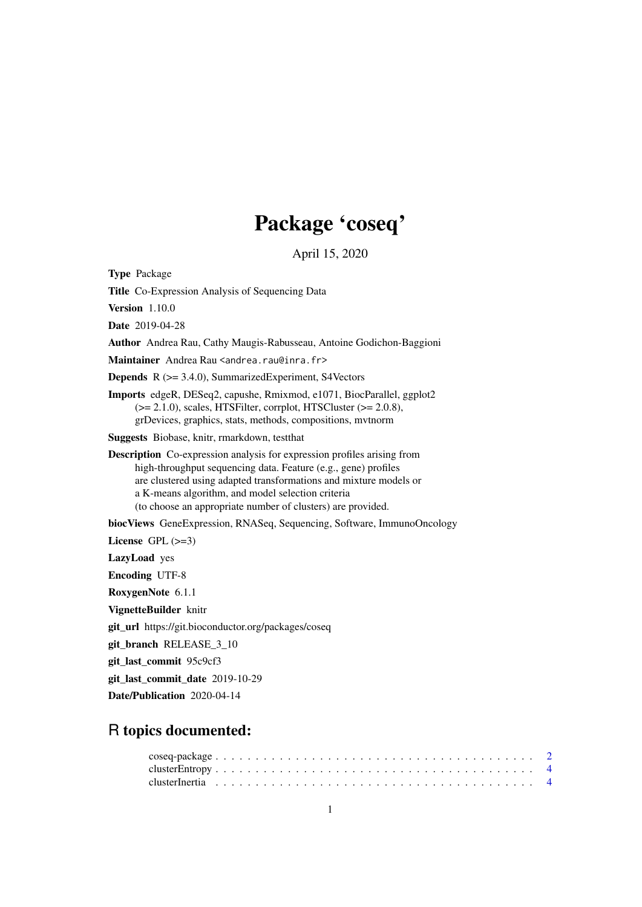## Package 'coseq'

April 15, 2020

Type Package

Title Co-Expression Analysis of Sequencing Data

Version 1.10.0

Date 2019-04-28

Author Andrea Rau, Cathy Maugis-Rabusseau, Antoine Godichon-Baggioni

Maintainer Andrea Rau <andrea.rau@inra.fr>

Depends R (>= 3.4.0), SummarizedExperiment, S4Vectors

Imports edgeR, DESeq2, capushe, Rmixmod, e1071, BiocParallel, ggplot2  $(>= 2.1.0)$ , scales, HTSFilter, corrplot, HTSCluster  $(>= 2.0.8)$ , grDevices, graphics, stats, methods, compositions, mvtnorm

Suggests Biobase, knitr, rmarkdown, testthat

Description Co-expression analysis for expression profiles arising from high-throughput sequencing data. Feature (e.g., gene) profiles are clustered using adapted transformations and mixture models or a K-means algorithm, and model selection criteria (to choose an appropriate number of clusters) are provided.

biocViews GeneExpression, RNASeq, Sequencing, Software, ImmunoOncology

License GPL  $(>=3)$ 

LazyLoad yes

Encoding UTF-8

RoxygenNote 6.1.1

VignetteBuilder knitr

git\_url https://git.bioconductor.org/packages/coseq

git\_branch RELEASE\_3\_10

git\_last\_commit 95c9cf3

git last commit date 2019-10-29

Date/Publication 2020-04-14

## R topics documented: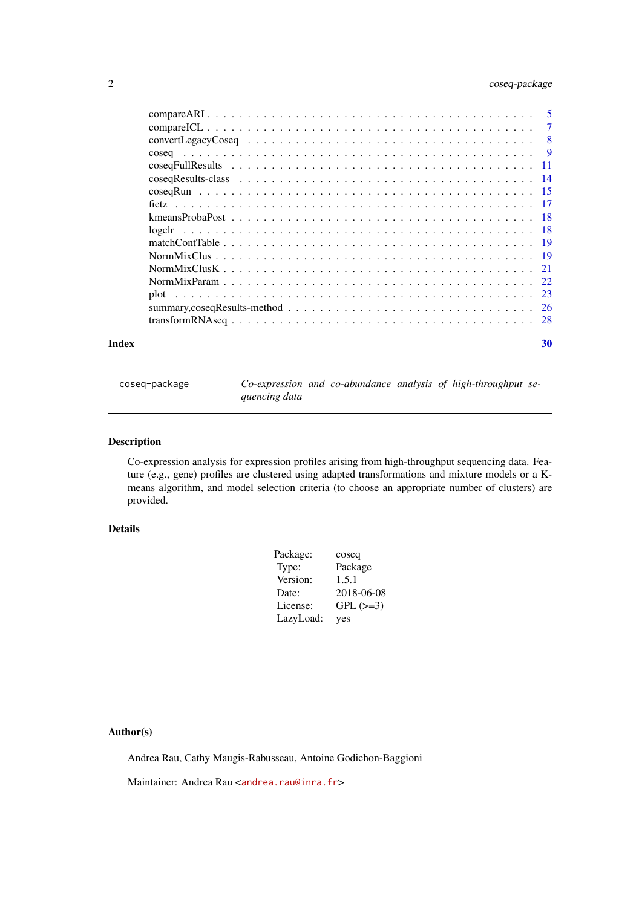## <span id="page-1-0"></span>2 coseq-package

|  |  |  |  |  |  |  |  |  |  |  |  |  |  | -5  |
|--|--|--|--|--|--|--|--|--|--|--|--|--|--|-----|
|  |  |  |  |  |  |  |  |  |  |  |  |  |  | 7   |
|  |  |  |  |  |  |  |  |  |  |  |  |  |  | 8   |
|  |  |  |  |  |  |  |  |  |  |  |  |  |  | - 9 |
|  |  |  |  |  |  |  |  |  |  |  |  |  |  |     |
|  |  |  |  |  |  |  |  |  |  |  |  |  |  |     |
|  |  |  |  |  |  |  |  |  |  |  |  |  |  |     |
|  |  |  |  |  |  |  |  |  |  |  |  |  |  |     |
|  |  |  |  |  |  |  |  |  |  |  |  |  |  |     |
|  |  |  |  |  |  |  |  |  |  |  |  |  |  |     |
|  |  |  |  |  |  |  |  |  |  |  |  |  |  |     |
|  |  |  |  |  |  |  |  |  |  |  |  |  |  |     |
|  |  |  |  |  |  |  |  |  |  |  |  |  |  |     |
|  |  |  |  |  |  |  |  |  |  |  |  |  |  |     |
|  |  |  |  |  |  |  |  |  |  |  |  |  |  |     |
|  |  |  |  |  |  |  |  |  |  |  |  |  |  | -26 |
|  |  |  |  |  |  |  |  |  |  |  |  |  |  |     |
|  |  |  |  |  |  |  |  |  |  |  |  |  |  |     |

#### **Index** [30](#page-29-0)

coseq-package *Co-expression and co-abundance analysis of high-throughput sequencing data*

## Description

Co-expression analysis for expression profiles arising from high-throughput sequencing data. Feature (e.g., gene) profiles are clustered using adapted transformations and mixture models or a Kmeans algorithm, and model selection criteria (to choose an appropriate number of clusters) are provided.

## Details

| Package:  | coseq      |
|-----------|------------|
| Type:     | Package    |
| Version:  | 1.5.1      |
| Date:     | 2018-06-08 |
| License:  | $GPL (=3)$ |
| LazyLoad: | yes        |

## Author(s)

Andrea Rau, Cathy Maugis-Rabusseau, Antoine Godichon-Baggioni

Maintainer: Andrea Rau <<andrea.rau@inra.fr>>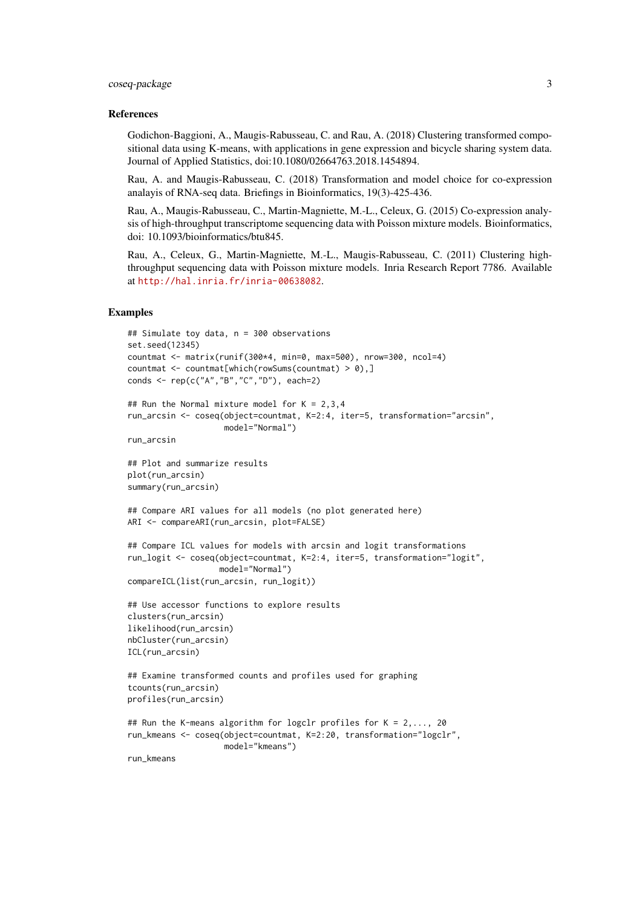#### coseq-package 3

#### References

Godichon-Baggioni, A., Maugis-Rabusseau, C. and Rau, A. (2018) Clustering transformed compositional data using K-means, with applications in gene expression and bicycle sharing system data. Journal of Applied Statistics, doi:10.1080/02664763.2018.1454894.

Rau, A. and Maugis-Rabusseau, C. (2018) Transformation and model choice for co-expression analayis of RNA-seq data. Briefings in Bioinformatics, 19(3)-425-436.

Rau, A., Maugis-Rabusseau, C., Martin-Magniette, M.-L., Celeux, G. (2015) Co-expression analysis of high-throughput transcriptome sequencing data with Poisson mixture models. Bioinformatics, doi: 10.1093/bioinformatics/btu845.

Rau, A., Celeux, G., Martin-Magniette, M.-L., Maugis-Rabusseau, C. (2011) Clustering highthroughput sequencing data with Poisson mixture models. Inria Research Report 7786. Available at <http://hal.inria.fr/inria-00638082>.

```
## Simulate toy data, n = 300 observations
set.seed(12345)
countmat <- matrix(runif(300*4, min=0, max=500), nrow=300, ncol=4)
countmat \leq countmat[which(rowSums(countmat) > 0),]
conds <- rep(c("A","B","C","D"), each=2)
## Run the Normal mixture model for K = 2,3,4run_arcsin <- coseq(object=countmat, K=2:4, iter=5, transformation="arcsin",
                    model="Normal")
run_arcsin
## Plot and summarize results
plot(run_arcsin)
summary(run_arcsin)
## Compare ARI values for all models (no plot generated here)
ARI <- compareARI(run_arcsin, plot=FALSE)
## Compare ICL values for models with arcsin and logit transformations
run_logit <- coseq(object=countmat, K=2:4, iter=5, transformation="logit",
                   model="Normal")
compareICL(list(run_arcsin, run_logit))
## Use accessor functions to explore results
clusters(run_arcsin)
likelihood(run_arcsin)
nbCluster(run_arcsin)
ICL(run_arcsin)
## Examine transformed counts and profiles used for graphing
tcounts(run_arcsin)
profiles(run_arcsin)
## Run the K-means algorithm for logclr profiles for K = 2, ..., 20run_kmeans <- coseq(object=countmat, K=2:20, transformation="logclr",
                    model="kmeans")
run_kmeans
```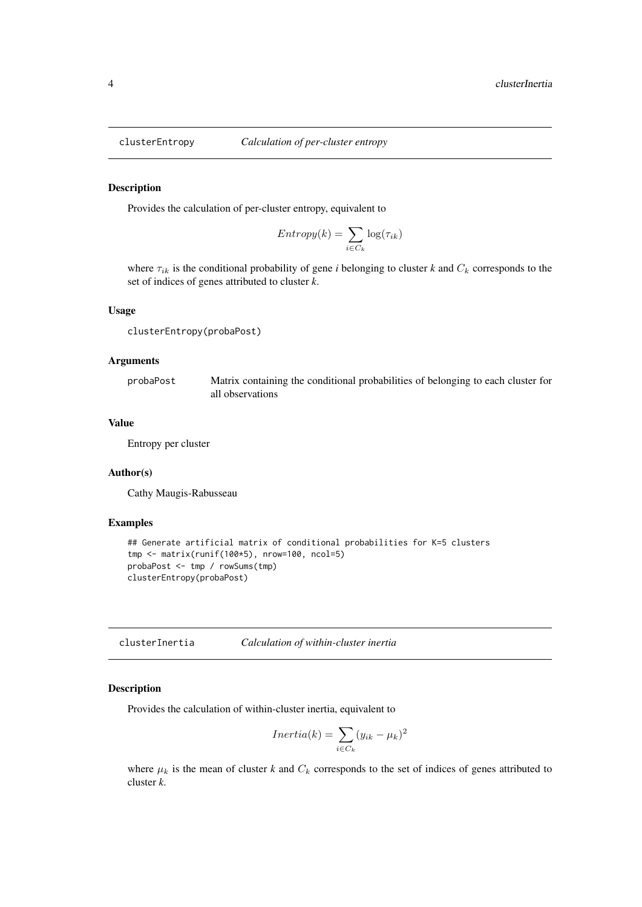<span id="page-3-0"></span>

## Description

Provides the calculation of per-cluster entropy, equivalent to

$$
Entropy(k) = \sum_{i \in C_k} \log(\tau_{ik})
$$

where  $\tau_{ik}$  is the conditional probability of gene *i* belonging to cluster *k* and  $C_k$  corresponds to the set of indices of genes attributed to cluster *k*.

#### Usage

```
clusterEntropy(probaPost)
```
## Arguments

probaPost Matrix containing the conditional probabilities of belonging to each cluster for all observations

## Value

Entropy per cluster

#### Author(s)

Cathy Maugis-Rabusseau

## Examples

```
## Generate artificial matrix of conditional probabilities for K=5 clusters
tmp <- matrix(runif(100*5), nrow=100, ncol=5)
probaPost <- tmp / rowSums(tmp)
clusterEntropy(probaPost)
```
clusterInertia *Calculation of within-cluster inertia*

#### Description

Provides the calculation of within-cluster inertia, equivalent to

$$
Inertia(k) = \sum_{i \in C_k} (y_{ik} - \mu_k)^2
$$

where  $\mu_k$  is the mean of cluster *k* and  $C_k$  corresponds to the set of indices of genes attributed to cluster *k*.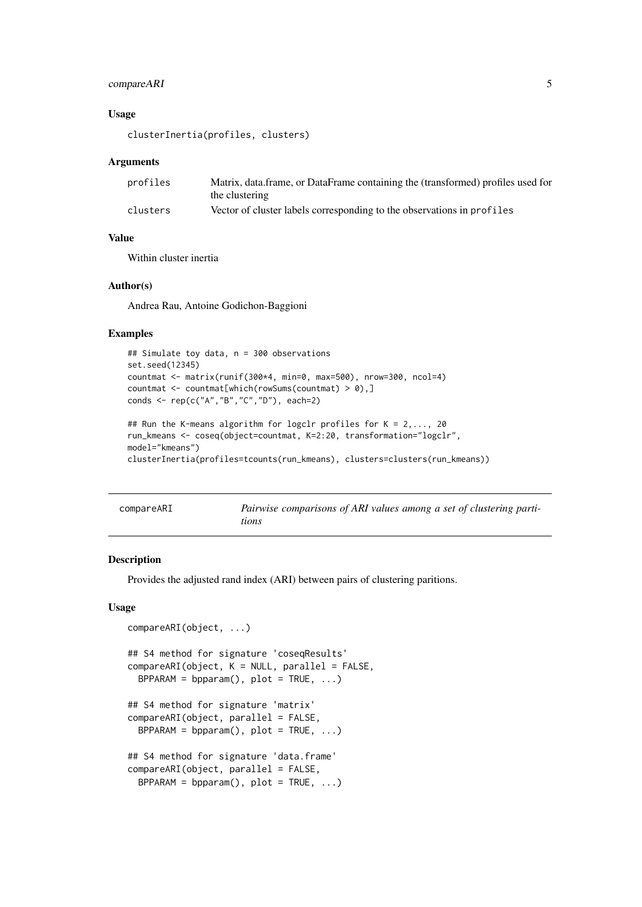#### <span id="page-4-0"></span>compareARI 5

#### Usage

clusterInertia(profiles, clusters)

#### Arguments

| profiles | Matrix, data.frame, or DataFrame containing the (transformed) profiles used for |  |  |  |  |  |  |  |
|----------|---------------------------------------------------------------------------------|--|--|--|--|--|--|--|
|          | the clustering                                                                  |  |  |  |  |  |  |  |
| clusters | Vector of cluster labels corresponding to the observations in profiles          |  |  |  |  |  |  |  |

#### Value

Within cluster inertia

## Author(s)

Andrea Rau, Antoine Godichon-Baggioni

## Examples

```
## Simulate toy data, n = 300 observations
set.seed(12345)
countmat <- matrix(runif(300*4, min=0, max=500), nrow=300, ncol=4)
countmat \leq countmat[which(rowSums(countmat) > 0),]
conds <- rep(c("A","B","C","D"), each=2)
```

```
## Run the K-means algorithm for logclr profiles for K = 2,..., 20
run_kmeans <- coseq(object=countmat, K=2:20, transformation="logclr",
model="kmeans")
clusterInertia(profiles=tcounts(run_kmeans), clusters=clusters(run_kmeans))
```

| compareARI | Pairwise comparisons of ARI values among a set of clustering parti- |
|------------|---------------------------------------------------------------------|
|            | tions                                                               |

## Description

Provides the adjusted rand index (ARI) between pairs of clustering paritions.

#### Usage

```
compareARI(object, ...)
## S4 method for signature 'coseqResults'
compareARI(object, K = NULL, parallel = FALSE,BPPARAM = bpparam(), plot = TRUE, ...)
## S4 method for signature 'matrix'
compareARI(object, parallel = FALSE,
 BPPARAM = bpparam(), plot = TRUE, ...)
## S4 method for signature 'data.frame'
compareARI(object, parallel = FALSE,
 BPPARAM = bpparam(), plot = TRUE, ...)
```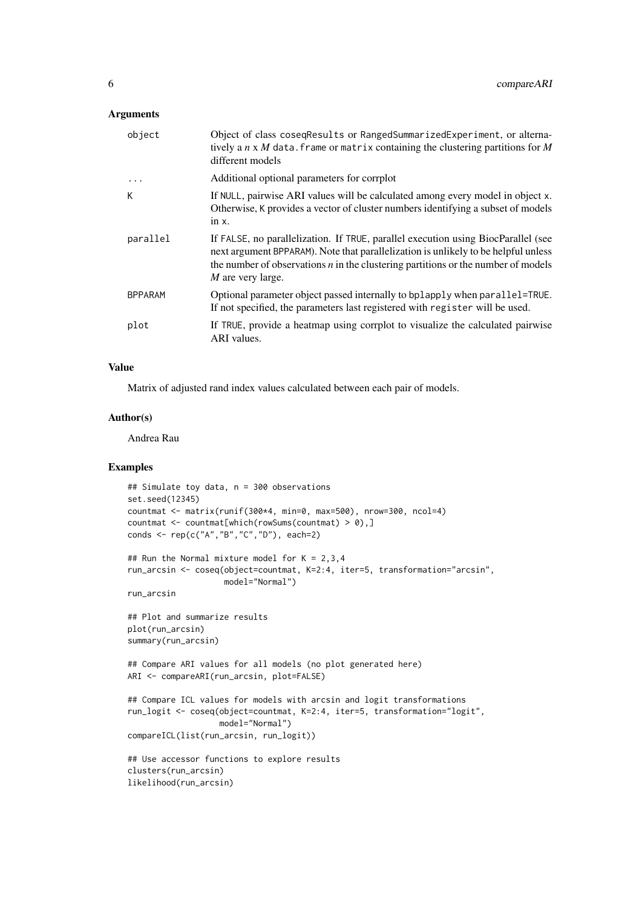## Arguments

| object         | Object of class coseqResults or RangedSummarizedExperiment, or alterna-<br>tively a $n \times M$ data. frame or matrix containing the clustering partitions for M<br>different models                                                                                               |
|----------------|-------------------------------------------------------------------------------------------------------------------------------------------------------------------------------------------------------------------------------------------------------------------------------------|
| .              | Additional optional parameters for corrplot                                                                                                                                                                                                                                         |
| К              | If NULL, pairwise ARI values will be calculated among every model in object x.<br>Otherwise, K provides a vector of cluster numbers identifying a subset of models<br>$in x$ .                                                                                                      |
| parallel       | If FALSE, no parallelization. If TRUE, parallel execution using BiocParallel (see<br>next argument BPPARAM). Note that parallelization is unlikely to be helpful unless<br>the number of observations $n$ in the clustering partitions or the number of models<br>M are very large. |
| <b>BPPARAM</b> | Optional parameter object passed internally to bplapply when parallel=TRUE.<br>If not specified, the parameters last registered with register will be used.                                                                                                                         |
| plot           | If TRUE, provide a heatmap using corrplot to visualize the calculated pairwise<br>ARI values.                                                                                                                                                                                       |

#### Value

Matrix of adjusted rand index values calculated between each pair of models.

## Author(s)

Andrea Rau

```
## Simulate toy data, n = 300 observations
set.seed(12345)
countmat \leq matrix(runif(300*4, min=0, max=500), nrow=300, ncol=4)
countmat \leq countmat[which(rowSums(countmat) > 0),]
conds <- rep(c("A","B","C","D"), each=2)
## Run the Normal mixture model for K = 2,3,4run_arcsin <- coseq(object=countmat, K=2:4, iter=5, transformation="arcsin",
                   model="Normal")
run_arcsin
## Plot and summarize results
plot(run_arcsin)
summary(run_arcsin)
## Compare ARI values for all models (no plot generated here)
ARI <- compareARI(run_arcsin, plot=FALSE)
## Compare ICL values for models with arcsin and logit transformations
run_logit <- coseq(object=countmat, K=2:4, iter=5, transformation="logit",
                  model="Normal")
compareICL(list(run_arcsin, run_logit))
## Use accessor functions to explore results
clusters(run_arcsin)
likelihood(run_arcsin)
```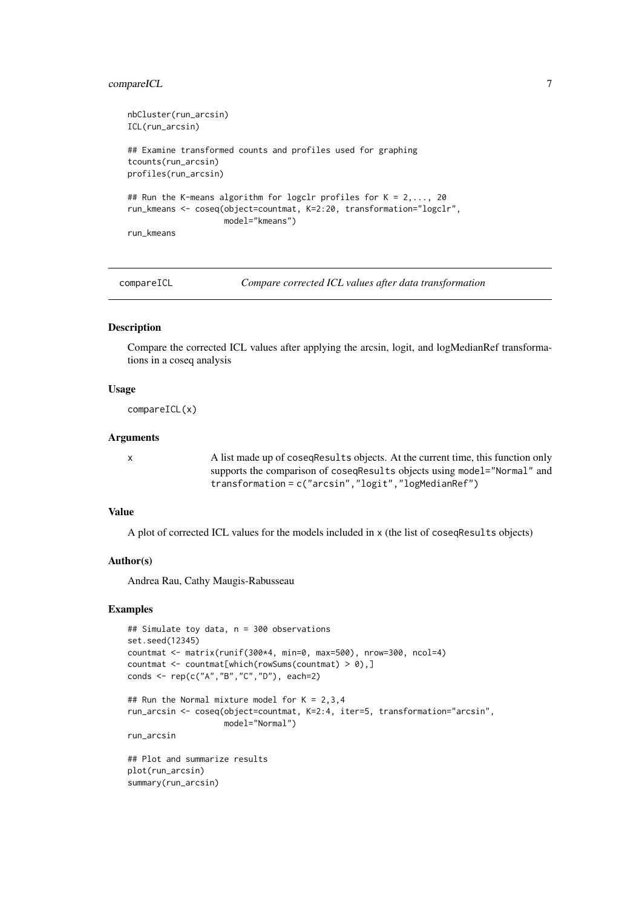#### <span id="page-6-0"></span>compareICL 7

```
nbCluster(run_arcsin)
ICL(run_arcsin)
## Examine transformed counts and profiles used for graphing
tcounts(run_arcsin)
profiles(run_arcsin)
## Run the K-means algorithm for logclr profiles for K = 2, \ldots, 20run_kmeans <- coseq(object=countmat, K=2:20, transformation="logclr",
                    model="kmeans")
run_kmeans
```
compareICL *Compare corrected ICL values after data transformation*

## Description

Compare the corrected ICL values after applying the arcsin, logit, and logMedianRef transformations in a coseq analysis

#### Usage

compareICL(x)

#### Arguments

x A list made up of coseqResults objects. At the current time, this function only supports the comparison of coseqResults objects using model="Normal" and transformation = c("arcsin","logit","logMedianRef")

## Value

A plot of corrected ICL values for the models included in x (the list of coseqResults objects)

#### Author(s)

Andrea Rau, Cathy Maugis-Rabusseau

```
## Simulate toy data, n = 300 observations
set.seed(12345)
countmat <- matrix(runif(300*4, min=0, max=500), nrow=300, ncol=4)
countmat \leq countmat[which(rowSums(countmat) > 0),]
conds <- rep(c("A","B","C","D"), each=2)
## Run the Normal mixture model for K = 2,3,4run_arcsin <- coseq(object=countmat, K=2:4, iter=5, transformation="arcsin",
                    model="Normal")
run_arcsin
## Plot and summarize results
plot(run_arcsin)
summary(run_arcsin)
```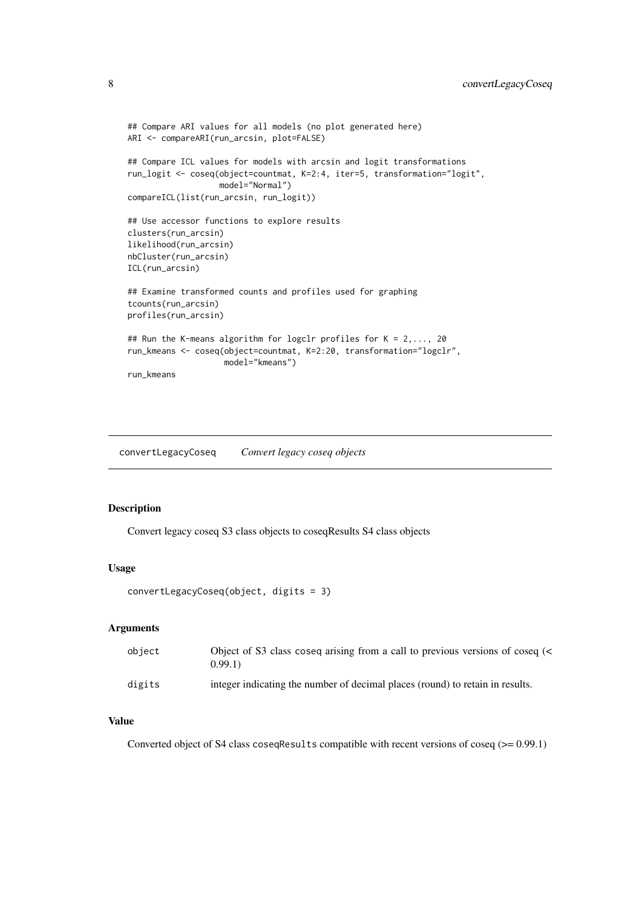```
## Compare ARI values for all models (no plot generated here)
ARI <- compareARI(run_arcsin, plot=FALSE)
## Compare ICL values for models with arcsin and logit transformations
run_logit <- coseq(object=countmat, K=2:4, iter=5, transformation="logit",
                  model="Normal")
compareICL(list(run_arcsin, run_logit))
## Use accessor functions to explore results
clusters(run_arcsin)
likelihood(run_arcsin)
nbCluster(run_arcsin)
ICL(run_arcsin)
## Examine transformed counts and profiles used for graphing
tcounts(run_arcsin)
profiles(run_arcsin)
## Run the K-means algorithm for logclr profiles for K = 2,..., 20
run_kmeans <- coseq(object=countmat, K=2:20, transformation="logclr",
                   model="kmeans")
run_kmeans
```
convertLegacyCoseq *Convert legacy coseq objects*

## Description

Convert legacy coseq S3 class objects to coseqResults S4 class objects

#### Usage

```
convertLegacyCoseq(object, digits = 3)
```
#### Arguments

| object | Object of S3 class coseq arising from a call to previous versions of coseq (<<br>0.99.1 |
|--------|-----------------------------------------------------------------------------------------|
| digits | integer indicating the number of decimal places (round) to retain in results.           |

#### Value

Converted object of S4 class coseqResults compatible with recent versions of coseq (>= 0.99.1)

<span id="page-7-0"></span>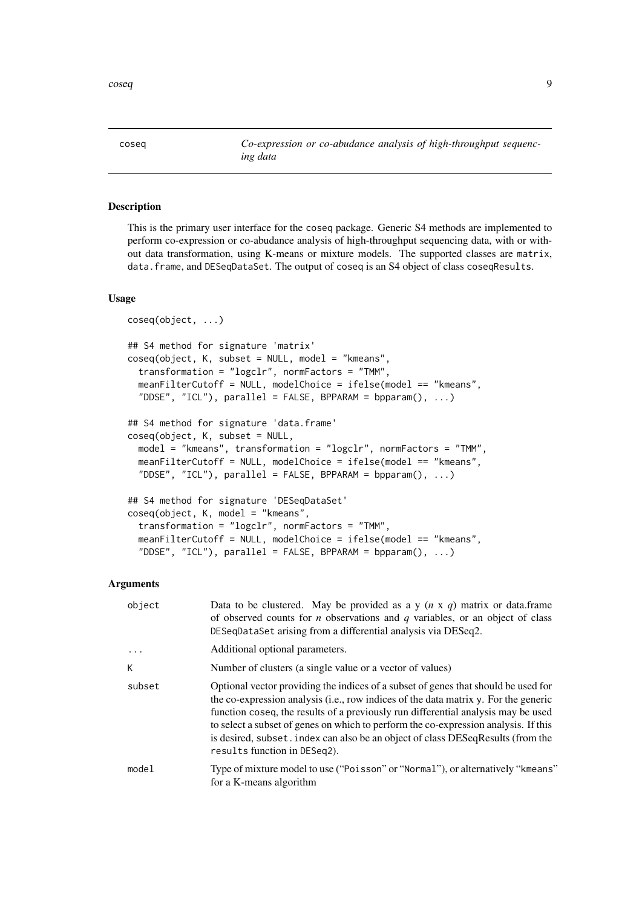<span id="page-8-1"></span><span id="page-8-0"></span>coseq *Co-expression or co-abudance analysis of high-throughput sequencing data*

## Description

This is the primary user interface for the coseq package. Generic S4 methods are implemented to perform co-expression or co-abudance analysis of high-throughput sequencing data, with or without data transformation, using K-means or mixture models. The supported classes are matrix, data.frame, and DESeqDataSet. The output of coseq is an S4 object of class coseqResults.

#### Usage

```
coseq(object, ...)
## S4 method for signature 'matrix'
coseq(object, K, subset = NULL, model = "kmeans",transformation = "logclr", normFactors = "TMM",
 meanFilterCutoff = NULL, modelChoice = ifelse(model == "kmeans",
  "DDSE", "ICL"), parallel = FALSE, BPPARAM = bpparam(), ...)
## S4 method for signature 'data.frame'
coseq(object, K, subset = NULL,
 model = "kmeans", transformation = "logclr", normFactors = "TMM",
 meanFilterCutoff = NULL, modelChoice = ifelse(model == "kmeans",
  "DDSE", "ICL"), parallel = FALSE, BPPARAM = bpparam(), ...)
## S4 method for signature 'DESeqDataSet'
coseq(object, K, model = "kmeans",
  transformation = "logclr", normFactors = "TMM",
 meanFilterCutoff = NULL, modelChoice = ifelse(model == "kmeans",
  "DDSE", "ICL"), parallel = FALSE, BPPARAM = bpparam(), ...)
```
### Arguments

| object   | Data to be clustered. May be provided as a y $(n \times q)$ matrix or data.frame<br>of observed counts for $n$ observations and $q$ variables, or an object of class<br>DESeqDataSet arising from a differential analysis via DESeq2.                                                                                                                                                                                                                                   |
|----------|-------------------------------------------------------------------------------------------------------------------------------------------------------------------------------------------------------------------------------------------------------------------------------------------------------------------------------------------------------------------------------------------------------------------------------------------------------------------------|
| $\cdots$ | Additional optional parameters.                                                                                                                                                                                                                                                                                                                                                                                                                                         |
| К        | Number of clusters (a single value or a vector of values)                                                                                                                                                                                                                                                                                                                                                                                                               |
| subset   | Optional vector providing the indices of a subset of genes that should be used for<br>the co-expression analysis (i.e., row indices of the data matrix y. For the generic<br>function coseq, the results of a previously run differential analysis may be used<br>to select a subset of genes on which to perform the co-expression analysis. If this<br>is desired, subset index can also be an object of class DESeqResults (from the<br>results function in DESeq2). |
| model    | Type of mixture model to use ("Poisson" or "Normal"), or alternatively "kmeans"<br>for a K-means algorithm                                                                                                                                                                                                                                                                                                                                                              |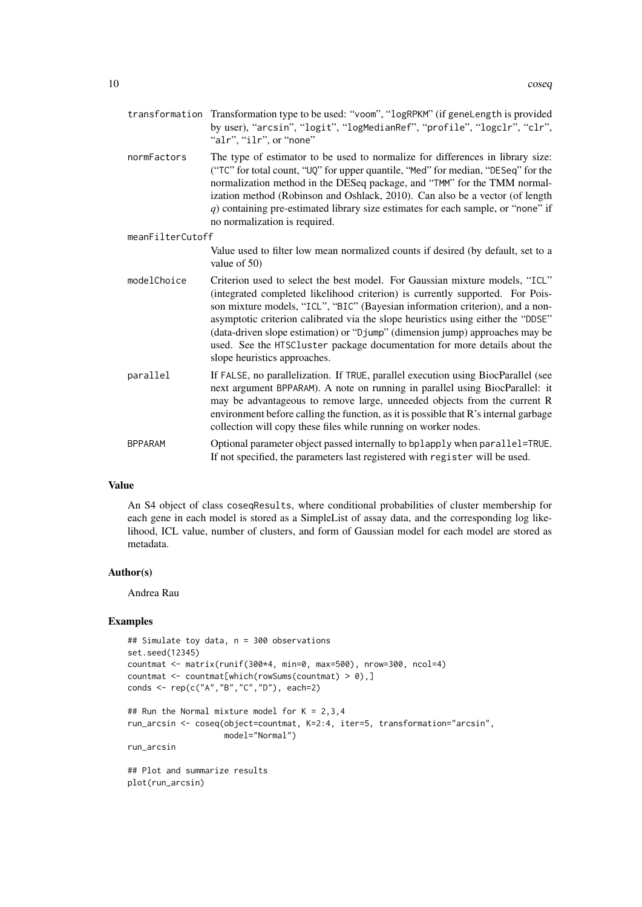- transformation Transformation type to be used: "voom", "logRPKM" (if geneLength is provided by user), "arcsin", "logit", "logMedianRef", "profile", "logclr", "clr", "alr", "ilr", or "none"
- normFactors The type of estimator to be used to normalize for differences in library size: ("TC" for total count, "UQ" for upper quantile, "Med" for median, "DESeq" for the normalization method in the DESeq package, and "TMM" for the TMM normalization method (Robinson and Oshlack, 2010). Can also be a vector (of length *q*) containing pre-estimated library size estimates for each sample, or "none" if no normalization is required.

#### meanFilterCutoff

Value used to filter low mean normalized counts if desired (by default, set to a value of 50)

- modelChoice Criterion used to select the best model. For Gaussian mixture models, "ICL" (integrated completed likelihood criterion) is currently supported. For Poisson mixture models, "ICL", "BIC" (Bayesian information criterion), and a nonasymptotic criterion calibrated via the slope heuristics using either the "DDSE" (data-driven slope estimation) or "Djump" (dimension jump) approaches may be used. See the HTSCluster package documentation for more details about the slope heuristics approaches.
- parallel If FALSE, no parallelization. If TRUE, parallel execution using BiocParallel (see next argument BPPARAM). A note on running in parallel using BiocParallel: it may be advantageous to remove large, unneeded objects from the current R environment before calling the function, as it is possible that R's internal garbage collection will copy these files while running on worker nodes.
- BPPARAM Optional parameter object passed internally to bplapply when parallel=TRUE. If not specified, the parameters last registered with register will be used.

#### Value

An S4 object of class coseqResults, where conditional probabilities of cluster membership for each gene in each model is stored as a SimpleList of assay data, and the corresponding log likelihood, ICL value, number of clusters, and form of Gaussian model for each model are stored as metadata.

#### Author(s)

Andrea Rau

```
## Simulate toy data, n = 300 observations
set.seed(12345)
countmat \leq matrix(runif(300*4, min=0, max=500), nrow=300, ncol=4)
countmat <- countmat[which(rowSums(countmat) > 0),]
conds <- rep(c("A","B","C","D"), each=2)
## Run the Normal mixture model for K = 2,3,4run_arcsin <- coseq(object=countmat, K=2:4, iter=5, transformation="arcsin",
                    model="Normal")
run_arcsin
## Plot and summarize results
plot(run_arcsin)
```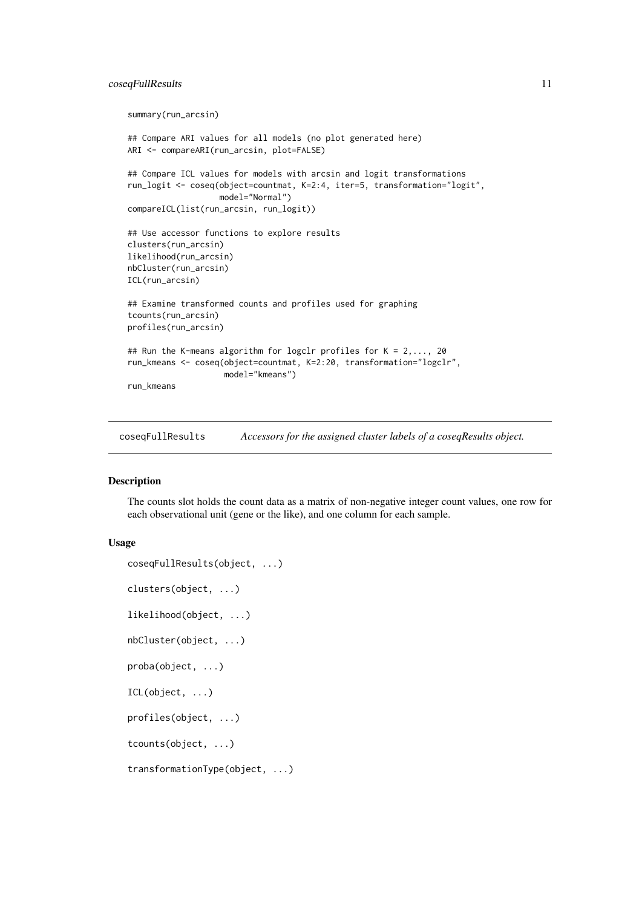#### <span id="page-10-0"></span>coseqFullResults 11

```
summary(run_arcsin)
## Compare ARI values for all models (no plot generated here)
ARI <- compareARI(run_arcsin, plot=FALSE)
## Compare ICL values for models with arcsin and logit transformations
run_logit <- coseq(object=countmat, K=2:4, iter=5, transformation="logit",
                   model="Normal")
compareICL(list(run_arcsin, run_logit))
## Use accessor functions to explore results
clusters(run_arcsin)
likelihood(run_arcsin)
nbCluster(run_arcsin)
ICL(run_arcsin)
## Examine transformed counts and profiles used for graphing
tcounts(run_arcsin)
profiles(run_arcsin)
## Run the K-means algorithm for logclr profiles for K = 2, \ldots, 20run_kmeans <- coseq(object=countmat, K=2:20, transformation="logclr",
                    model="kmeans")
run_kmeans
```
coseqFullResults *Accessors for the assigned cluster labels of a coseqResults object.*

## Description

The counts slot holds the count data as a matrix of non-negative integer count values, one row for each observational unit (gene or the like), and one column for each sample.

#### Usage

```
coseqFullResults(object, ...)
clusters(object, ...)
likelihood(object, ...)
nbCluster(object, ...)
proba(object, ...)
ICL(object, ...)
profiles(object, ...)
tcounts(object, ...)
transformationType(object, ...)
```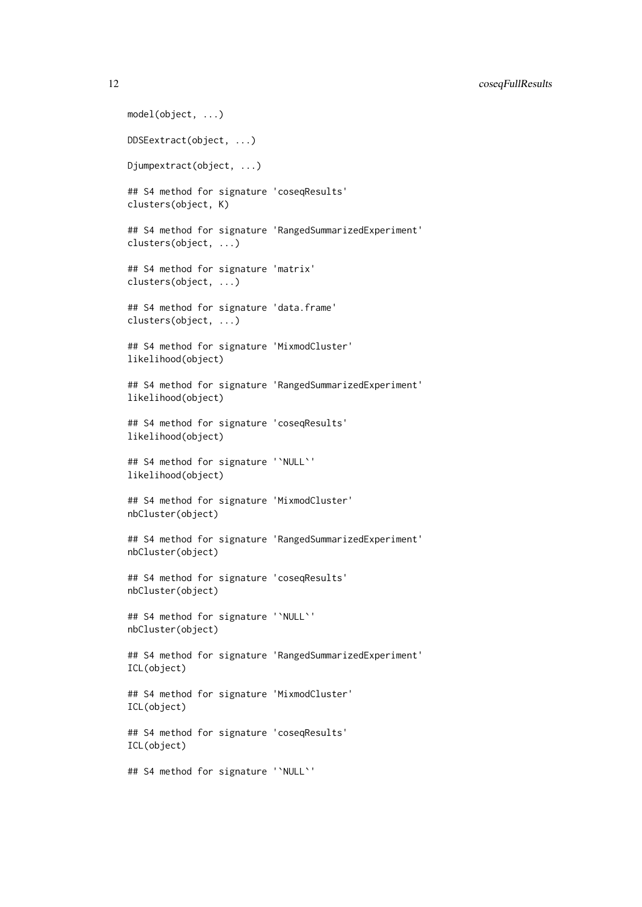```
model(object, ...)
DDSEextract(object, ...)
Djumpextract(object, ...)
## S4 method for signature 'coseqResults'
clusters(object, K)
## S4 method for signature 'RangedSummarizedExperiment'
clusters(object, ...)
## S4 method for signature 'matrix'
clusters(object, ...)
## S4 method for signature 'data.frame'
clusters(object, ...)
## S4 method for signature 'MixmodCluster'
likelihood(object)
## S4 method for signature 'RangedSummarizedExperiment'
likelihood(object)
## S4 method for signature 'coseqResults'
likelihood(object)
## S4 method for signature '`NULL`'
likelihood(object)
## S4 method for signature 'MixmodCluster'
nbCluster(object)
## S4 method for signature 'RangedSummarizedExperiment'
nbCluster(object)
## S4 method for signature 'coseqResults'
nbCluster(object)
## S4 method for signature '`NULL`'
nbCluster(object)
## S4 method for signature 'RangedSummarizedExperiment'
ICL(object)
## S4 method for signature 'MixmodCluster'
ICL(object)
## S4 method for signature 'coseqResults'
ICL(object)
## S4 method for signature '`NULL`'
```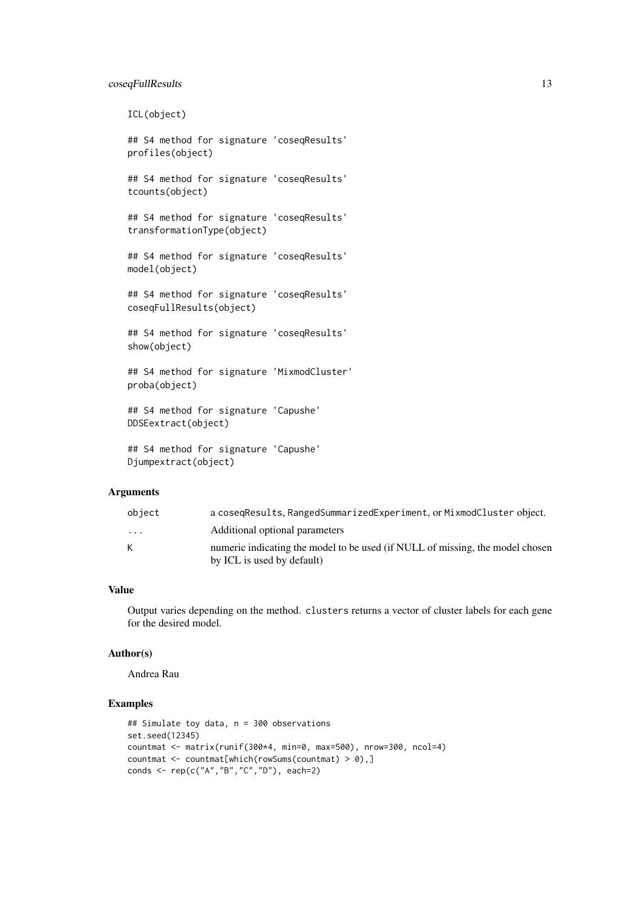#### coseqFullResults 13

ICL(object)

## S4 method for signature 'coseqResults' profiles(object)

## S4 method for signature 'coseqResults' tcounts(object)

## S4 method for signature 'coseqResults' transformationType(object)

## S4 method for signature 'coseqResults' model(object)

## S4 method for signature 'coseqResults' coseqFullResults(object)

## S4 method for signature 'coseqResults' show(object)

## S4 method for signature 'MixmodCluster' proba(object)

## S4 method for signature 'Capushe' DDSEextract(object)

```
## S4 method for signature 'Capushe'
Djumpextract(object)
```
## Arguments

| object                  | a cosegResults, RangedSummarizedExperiment, or MixmodCluster object.                                        |
|-------------------------|-------------------------------------------------------------------------------------------------------------|
| $\cdot$ $\cdot$ $\cdot$ | Additional optional parameters                                                                              |
| K                       | numeric indicating the model to be used (if NULL of missing, the model chosen<br>by ICL is used by default) |

## Value

Output varies depending on the method. clusters returns a vector of cluster labels for each gene for the desired model.

## Author(s)

Andrea Rau

```
## Simulate toy data, n = 300 observations
set.seed(12345)
countmat <- matrix(runif(300*4, min=0, max=500), nrow=300, ncol=4)
countmat \leq countmat[which(rowSums(countmat) > 0),]
conds <- rep(c("A","B","C","D"), each=2)
```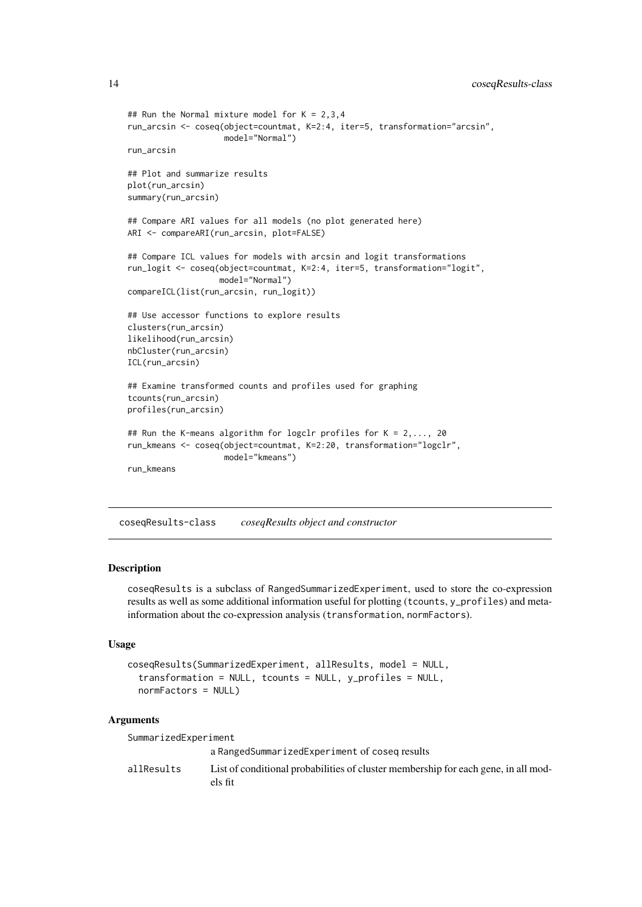```
## Run the Normal mixture model for K = 2,3,4run_arcsin <- coseq(object=countmat, K=2:4, iter=5, transformation="arcsin",
                    model="Normal")
run_arcsin
## Plot and summarize results
plot(run_arcsin)
summary(run_arcsin)
## Compare ARI values for all models (no plot generated here)
ARI <- compareARI(run_arcsin, plot=FALSE)
## Compare ICL values for models with arcsin and logit transformations
run_logit <- coseq(object=countmat, K=2:4, iter=5, transformation="logit",
                   model="Normal")
compareICL(list(run_arcsin, run_logit))
## Use accessor functions to explore results
clusters(run_arcsin)
likelihood(run_arcsin)
nbCluster(run_arcsin)
ICL(run_arcsin)
## Examine transformed counts and profiles used for graphing
tcounts(run_arcsin)
profiles(run_arcsin)
## Run the K-means algorithm for logclr profiles for K = 2,..., 20
run_kmeans <- coseq(object=countmat, K=2:20, transformation="logclr",
                   model="kmeans")
run_kmeans
```
coseqResults-class *coseqResults object and constructor*

#### Description

coseqResults is a subclass of RangedSummarizedExperiment, used to store the co-expression results as well as some additional information useful for plotting (tcounts, y\_profiles) and metainformation about the co-expression analysis (transformation, normFactors).

#### Usage

```
coseqResults(SummarizedExperiment, allResults, model = NULL,
  transformation = NULL, tcounts = NULL, y_profiles = NULL,
 normFactors = NULL)
```
### Arguments

| SummarizedExperiment |                                                                                               |  |  |  |  |
|----------------------|-----------------------------------------------------------------------------------------------|--|--|--|--|
|                      | a RangedSummarizedExperiment of coseg results                                                 |  |  |  |  |
| allResults           | List of conditional probabilities of cluster membership for each gene, in all mod-<br>els fit |  |  |  |  |

<span id="page-13-0"></span>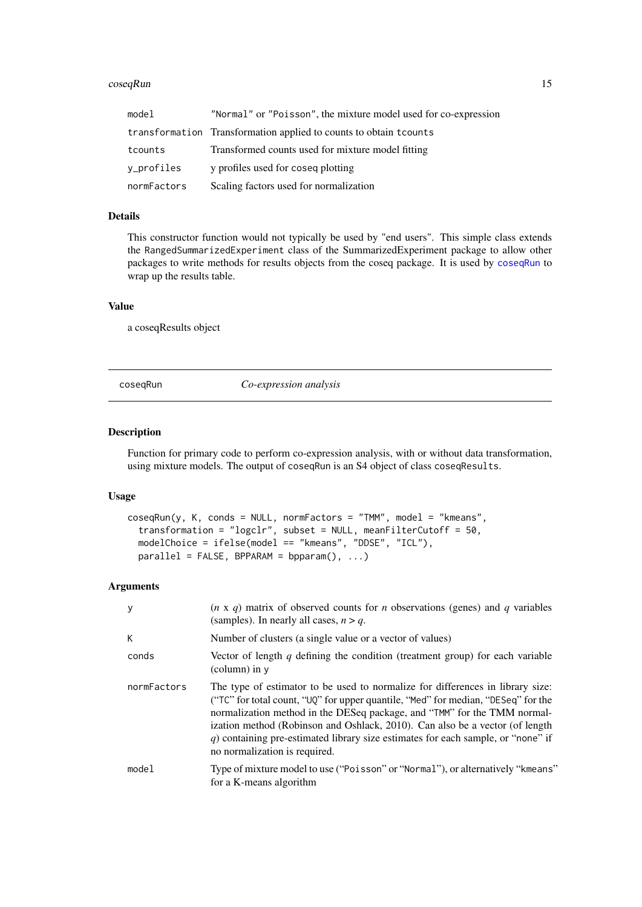#### <span id="page-14-0"></span> $\csc{geq}\n$ Run 15

| model       | "Normal" or "Poisson", the mixture model used for co-expression    |
|-------------|--------------------------------------------------------------------|
|             | transformation Transformation applied to counts to obtain t counts |
| tcounts     | Transformed counts used for mixture model fitting                  |
| y_profiles  | y profiles used for coseg plotting                                 |
| normFactors | Scaling factors used for normalization                             |

## Details

This constructor function would not typically be used by "end users". This simple class extends the RangedSummarizedExperiment class of the SummarizedExperiment package to allow other packages to write methods for results objects from the coseq package. It is used by [coseqRun](#page-14-1) to wrap up the results table.

## Value

a coseqResults object

<span id="page-14-1"></span>coseqRun *Co-expression analysis*

#### Description

Function for primary code to perform co-expression analysis, with or without data transformation, using mixture models. The output of coseqRun is an S4 object of class coseqResults.

## Usage

```
coseqRun(y, K, conds = NULL, normFactors = "TMM", model = "kmeans",
  transformation = "logclr", subset = NULL, meanFilterCutoff = 50,
 modelChoice = ifelse(model == "kmeans", "DDSE", "ICL"),
 parallel = FALSE, BPPARAM = bpparam(), ...)
```
## Arguments

| $\mathbf{y}$ | $(n \times q)$ matrix of observed counts for <i>n</i> observations (genes) and <i>q</i> variables<br>(samples). In nearly all cases, $n > q$ .                                                                                                                                                                                                                                                                                                          |
|--------------|---------------------------------------------------------------------------------------------------------------------------------------------------------------------------------------------------------------------------------------------------------------------------------------------------------------------------------------------------------------------------------------------------------------------------------------------------------|
| К            | Number of clusters (a single value or a vector of values)                                                                                                                                                                                                                                                                                                                                                                                               |
| conds        | Vector of length q defining the condition (treatment group) for each variable<br>$\alpha$ (column) in $\nu$                                                                                                                                                                                                                                                                                                                                             |
| normFactors  | The type of estimator to be used to normalize for differences in library size:<br>("TC" for total count, "UQ" for upper quantile, "Med" for median, "DESeq" for the<br>normalization method in the DESeq package, and "TMM" for the TMM normal-<br>ization method (Robinson and Oshlack, 2010). Can also be a vector (of length<br>$q$ ) containing pre-estimated library size estimates for each sample, or "none" if<br>no normalization is required. |
| model        | Type of mixture model to use ("Poisson" or "Normal"), or alternatively "kmeans"<br>for a K-means algorithm                                                                                                                                                                                                                                                                                                                                              |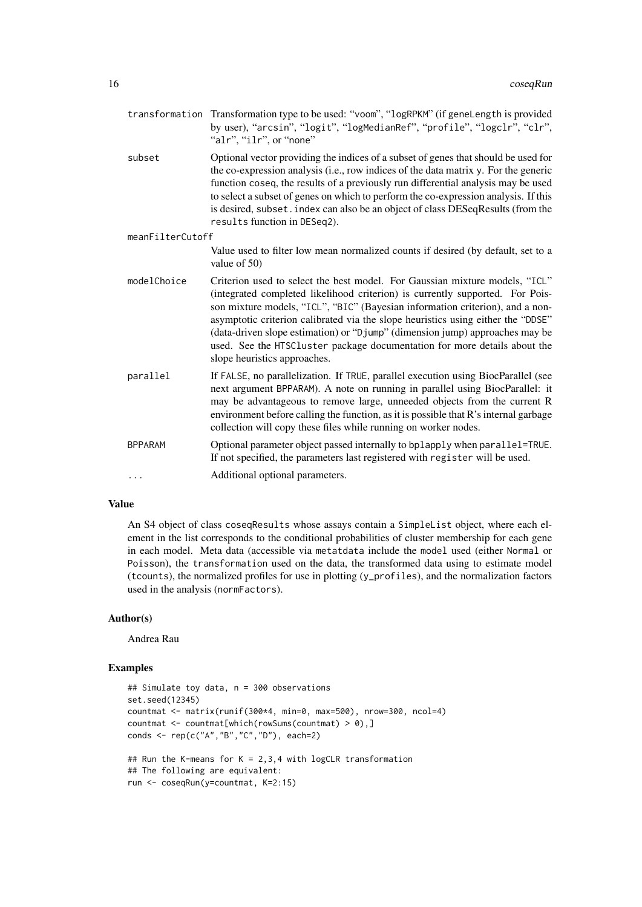| transformation   | Transformation type to be used: "voom", "logRPKM" (if geneLength is provided<br>by user), "arcsin", "logit", "logMedianRef", "profile", "logclr", "clr",<br>"alr", "ilr", or "none"                                                                                                                                                                                                                                                                                                                                            |
|------------------|--------------------------------------------------------------------------------------------------------------------------------------------------------------------------------------------------------------------------------------------------------------------------------------------------------------------------------------------------------------------------------------------------------------------------------------------------------------------------------------------------------------------------------|
| subset           | Optional vector providing the indices of a subset of genes that should be used for<br>the co-expression analysis (i.e., row indices of the data matrix y. For the generic<br>function coseq, the results of a previously run differential analysis may be used<br>to select a subset of genes on which to perform the co-expression analysis. If this<br>is desired, subset. index can also be an object of class DESeqResults (from the<br>results function in DESeq2).                                                       |
| meanFilterCutoff |                                                                                                                                                                                                                                                                                                                                                                                                                                                                                                                                |
|                  | Value used to filter low mean normalized counts if desired (by default, set to a<br>value of 50)                                                                                                                                                                                                                                                                                                                                                                                                                               |
| modelChoice      | Criterion used to select the best model. For Gaussian mixture models, "ICL"<br>(integrated completed likelihood criterion) is currently supported. For Pois-<br>son mixture models, "ICL", "BIC" (Bayesian information criterion), and a non-<br>asymptotic criterion calibrated via the slope heuristics using either the "DDSE"<br>(data-driven slope estimation) or "Djump" (dimension jump) approaches may be<br>used. See the HTSCluster package documentation for more details about the<br>slope heuristics approaches. |
| parallel         | If FALSE, no parallelization. If TRUE, parallel execution using BiocParallel (see<br>next argument BPPARAM). A note on running in parallel using BiocParallel: it<br>may be advantageous to remove large, unneeded objects from the current R<br>environment before calling the function, as it is possible that R's internal garbage<br>collection will copy these files while running on worker nodes.                                                                                                                       |
| <b>BPPARAM</b>   | Optional parameter object passed internally to bplapply when parallel=TRUE.<br>If not specified, the parameters last registered with register will be used.                                                                                                                                                                                                                                                                                                                                                                    |
| $\cdots$         | Additional optional parameters.                                                                                                                                                                                                                                                                                                                                                                                                                                                                                                |
|                  |                                                                                                                                                                                                                                                                                                                                                                                                                                                                                                                                |

## Value

An S4 object of class coseqResults whose assays contain a SimpleList object, where each element in the list corresponds to the conditional probabilities of cluster membership for each gene in each model. Meta data (accessible via metatdata include the model used (either Normal or Poisson), the transformation used on the data, the transformed data using to estimate model (tcounts), the normalized profiles for use in plotting (y\_profiles), and the normalization factors used in the analysis (normFactors).

## Author(s)

Andrea Rau

```
## Simulate toy data, n = 300 observations
set.seed(12345)
countmat <- matrix(runif(300*4, min=0, max=500), nrow=300, ncol=4)
countmat <- countmat[which(rowSums(countmat) > 0),]
conds <- rep(c("A","B","C","D"), each=2)
## Run the K-means for K = 2,3,4 with logCLR transformation
## The following are equivalent:
run <- coseqRun(y=countmat, K=2:15)
```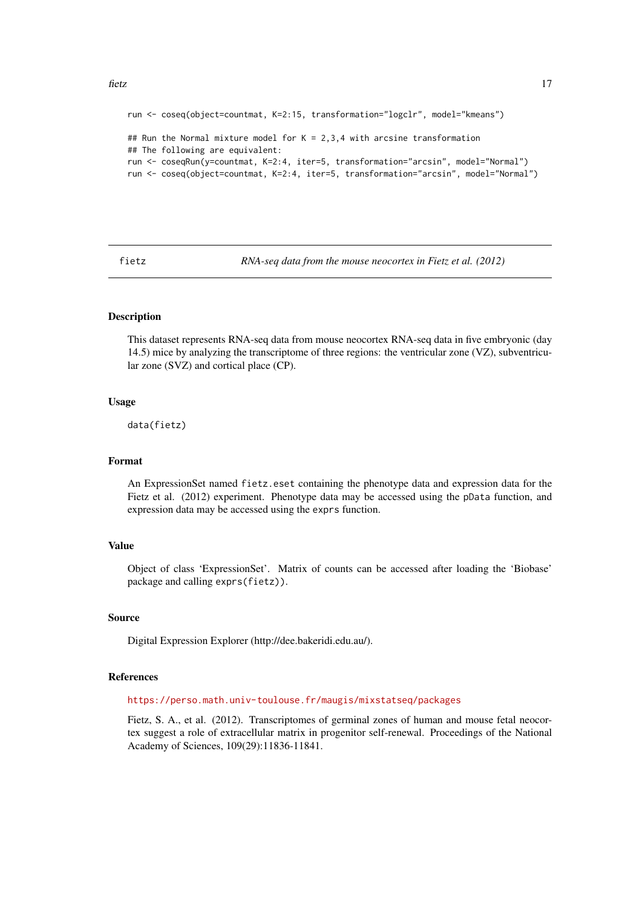#### <span id="page-16-0"></span>fietz and the state of the state of the state of the state of the state of the state of the state of the state of the state of the state of the state of the state of the state of the state of the state of the state of the

```
run <- coseq(object=countmat, K=2:15, transformation="logclr", model="kmeans")
## Run the Normal mixture model for K = 2,3,4 with arcsine transformation
## The following are equivalent:
run <- coseqRun(y=countmat, K=2:4, iter=5, transformation="arcsin", model="Normal")
run <- coseq(object=countmat, K=2:4, iter=5, transformation="arcsin", model="Normal")
```
fietz *RNA-seq data from the mouse neocortex in Fietz et al. (2012)*

### Description

This dataset represents RNA-seq data from mouse neocortex RNA-seq data in five embryonic (day 14.5) mice by analyzing the transcriptome of three regions: the ventricular zone (VZ), subventricular zone (SVZ) and cortical place (CP).

#### Usage

data(fietz)

## Format

An ExpressionSet named fietz.eset containing the phenotype data and expression data for the Fietz et al. (2012) experiment. Phenotype data may be accessed using the pData function, and expression data may be accessed using the exprs function.

#### Value

Object of class 'ExpressionSet'. Matrix of counts can be accessed after loading the 'Biobase' package and calling exprs(fietz)).

#### Source

Digital Expression Explorer (http://dee.bakeridi.edu.au/).

## References

<https://perso.math.univ-toulouse.fr/maugis/mixstatseq/packages>

Fietz, S. A., et al. (2012). Transcriptomes of germinal zones of human and mouse fetal neocortex suggest a role of extracellular matrix in progenitor self-renewal. Proceedings of the National Academy of Sciences, 109(29):11836-11841.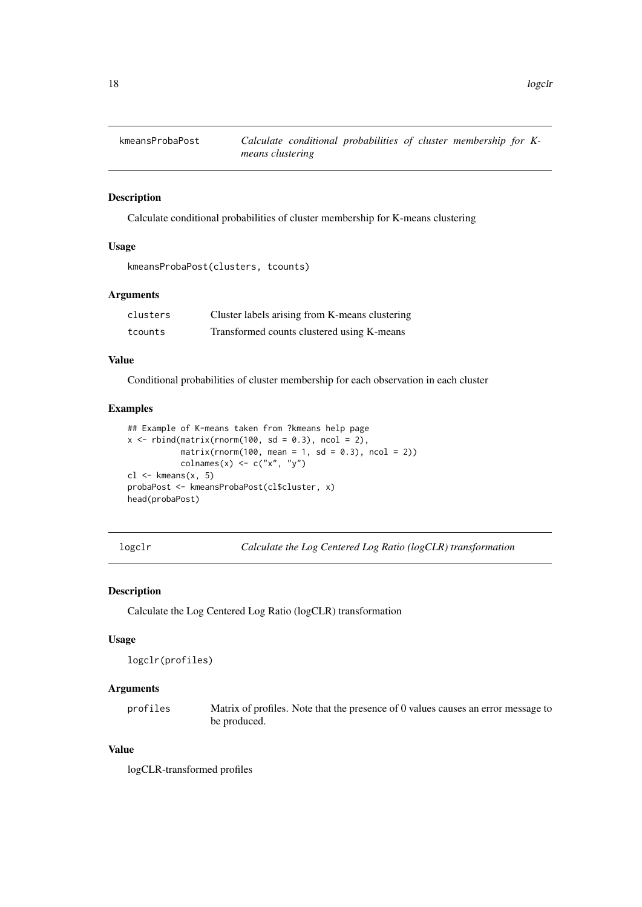<span id="page-17-0"></span>

## Description

Calculate conditional probabilities of cluster membership for K-means clustering

## Usage

kmeansProbaPost(clusters, tcounts)

## Arguments

| clusters | Cluster labels arising from K-means clustering |
|----------|------------------------------------------------|
| tcounts  | Transformed counts clustered using K-means     |

## Value

Conditional probabilities of cluster membership for each observation in each cluster

## Examples

```
## Example of K-means taken from ?kmeans help page
x \le rbind(matrix(rnorm(100, sd = 0.3), ncol = 2),
           matrix(rnorm(100, mean = 1, sd = 0.3), ncol = 2))\text{colnames}(x) \leftarrow c("x", "y")cl <- kmeans(x, 5)
probaPost <- kmeansProbaPost(cl$cluster, x)
head(probaPost)
```
logclr *Calculate the Log Centered Log Ratio (logCLR) transformation*

#### Description

Calculate the Log Centered Log Ratio (logCLR) transformation

## Usage

```
logclr(profiles)
```
## Arguments

profiles Matrix of profiles. Note that the presence of 0 values causes an error message to be produced.

## Value

logCLR-transformed profiles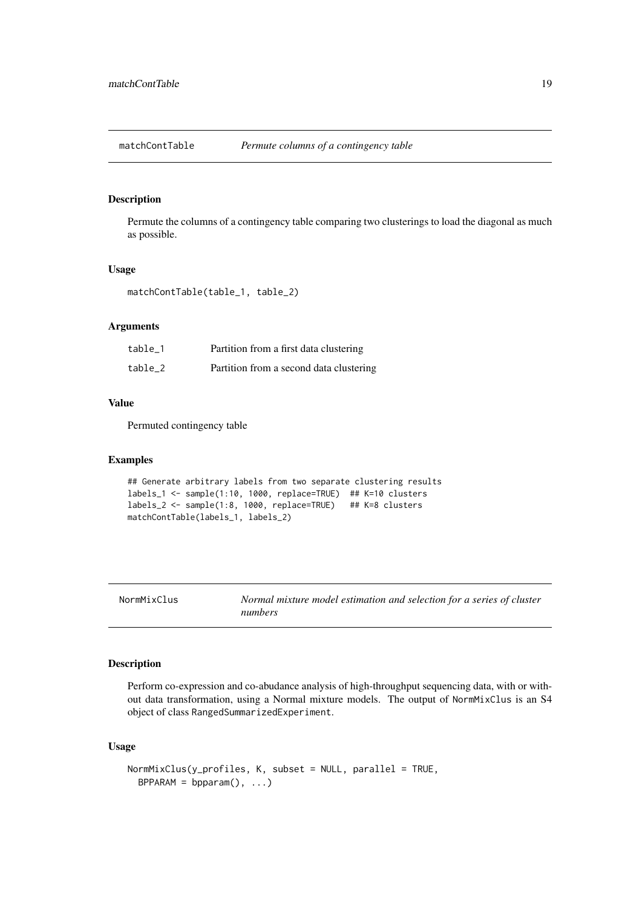<span id="page-18-0"></span>

## Description

Permute the columns of a contingency table comparing two clusterings to load the diagonal as much as possible.

## Usage

matchContTable(table\_1, table\_2)

## Arguments

| table 1 | Partition from a first data clustering  |
|---------|-----------------------------------------|
| table 2 | Partition from a second data clustering |

## Value

Permuted contingency table

## Examples

```
## Generate arbitrary labels from two separate clustering results
labels_1 <- sample(1:10, 1000, replace=TRUE) ## K=10 clusters
labels_2 <- sample(1:8, 1000, replace=TRUE) ## K=8 clusters
matchContTable(labels_1, labels_2)
```
NormMixClus *Normal mixture model estimation and selection for a series of cluster numbers*

## Description

Perform co-expression and co-abudance analysis of high-throughput sequencing data, with or without data transformation, using a Normal mixture models. The output of NormMixClus is an S4 object of class RangedSummarizedExperiment.

## Usage

```
NormMixClus(y_profiles, K, subset = NULL, parallel = TRUE,
 BPPARAM = bpparam(), ...)
```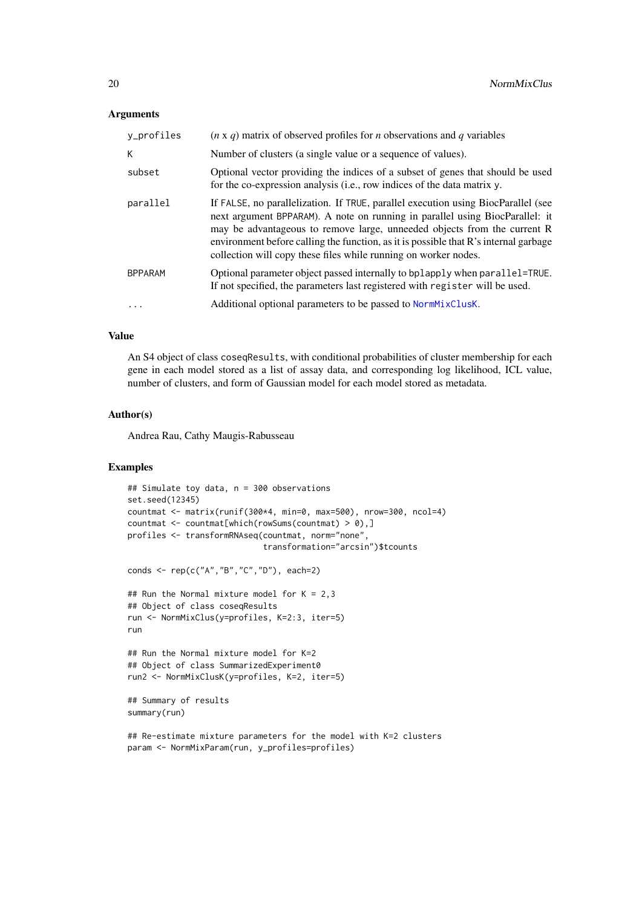#### <span id="page-19-0"></span>Arguments

| y_profiles     | $(n \times q)$ matrix of observed profiles for <i>n</i> observations and <i>q</i> variables                                                                                                                                                                                                                                                                                                              |
|----------------|----------------------------------------------------------------------------------------------------------------------------------------------------------------------------------------------------------------------------------------------------------------------------------------------------------------------------------------------------------------------------------------------------------|
| K              | Number of clusters (a single value or a sequence of values).                                                                                                                                                                                                                                                                                                                                             |
| subset         | Optional vector providing the indices of a subset of genes that should be used<br>for the co-expression analysis (i.e., row indices of the data matrix y.                                                                                                                                                                                                                                                |
| parallel       | If FALSE, no parallelization. If TRUE, parallel execution using BiocParallel (see<br>next argument BPPARAM). A note on running in parallel using BiocParallel: it<br>may be advantageous to remove large, unneeded objects from the current R<br>environment before calling the function, as it is possible that R's internal garbage<br>collection will copy these files while running on worker nodes. |
| <b>BPPARAM</b> | Optional parameter object passed internally to bplapply when parallel=TRUE.<br>If not specified, the parameters last registered with register will be used.                                                                                                                                                                                                                                              |
|                | Additional optional parameters to be passed to NormMixClusK.                                                                                                                                                                                                                                                                                                                                             |

## Value

An S4 object of class coseqResults, with conditional probabilities of cluster membership for each gene in each model stored as a list of assay data, and corresponding log likelihood, ICL value, number of clusters, and form of Gaussian model for each model stored as metadata.

#### Author(s)

Andrea Rau, Cathy Maugis-Rabusseau

```
## Simulate toy data, n = 300 observations
set.seed(12345)
countmat <- matrix(runif(300*4, min=0, max=500), nrow=300, ncol=4)
countmat <- countmat[which(rowSums(countmat) > 0),]
profiles <- transformRNAseq(countmat, norm="none",
                            transformation="arcsin")$tcounts
conds <- rep(c("A","B","C","D"), each=2)
```

```
## Run the Normal mixture model for K = 2,3
## Object of class coseqResults
run <- NormMixClus(y=profiles, K=2:3, iter=5)
run
```

```
## Run the Normal mixture model for K=2
## Object of class SummarizedExperiment0
run2 <- NormMixClusK(y=profiles, K=2, iter=5)
```

```
## Summary of results
summary(run)
```

```
## Re-estimate mixture parameters for the model with K=2 clusters
param <- NormMixParam(run, y_profiles=profiles)
```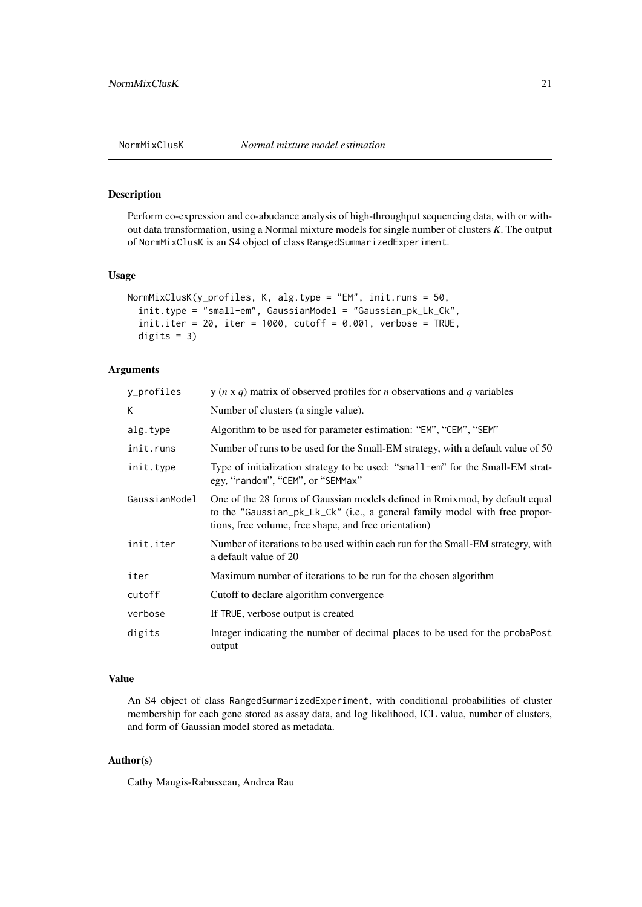<span id="page-20-1"></span><span id="page-20-0"></span>

## Description

Perform co-expression and co-abudance analysis of high-throughput sequencing data, with or without data transformation, using a Normal mixture models for single number of clusters *K*. The output of NormMixClusK is an S4 object of class RangedSummarizedExperiment.

## Usage

```
NormMixClusK(y_profiles, K, alg.type = "EM", init.runs = 50,
  init.type = "small-em", GaussianModel = "Gaussian_pk_Lk_Ck",
  init.iter = 20, iter = 1000, cutoff = 0.001, verbose = TRUE,
 digits = 3)
```
### Arguments

| y_profiles    | y ( $n \times q$ ) matrix of observed profiles for <i>n</i> observations and <i>q</i> variables                                                                                                                    |
|---------------|--------------------------------------------------------------------------------------------------------------------------------------------------------------------------------------------------------------------|
| K             | Number of clusters (a single value).                                                                                                                                                                               |
| alg.type      | Algorithm to be used for parameter estimation: "EM", "CEM", "SEM"                                                                                                                                                  |
| init.runs     | Number of runs to be used for the Small-EM strategy, with a default value of 50                                                                                                                                    |
| init.type     | Type of initialization strategy to be used: "small-em" for the Small-EM strat-<br>egy, "random", "CEM", or "SEMMax"                                                                                                |
| GaussianModel | One of the 28 forms of Gaussian models defined in Rmixmod, by default equal<br>to the "Gaussian_pk_Lk_Ck" (i.e., a general family model with free propor-<br>tions, free volume, free shape, and free orientation) |
| init.iter     | Number of iterations to be used within each run for the Small-EM strategry, with<br>a default value of 20                                                                                                          |
| iter          | Maximum number of iterations to be run for the chosen algorithm                                                                                                                                                    |
| cutoff        | Cutoff to declare algorithm convergence                                                                                                                                                                            |
| verbose       | If TRUE, verbose output is created                                                                                                                                                                                 |
| digits        | Integer indicating the number of decimal places to be used for the probaPost<br>output                                                                                                                             |

## Value

An S4 object of class RangedSummarizedExperiment, with conditional probabilities of cluster membership for each gene stored as assay data, and log likelihood, ICL value, number of clusters, and form of Gaussian model stored as metadata.

## Author(s)

Cathy Maugis-Rabusseau, Andrea Rau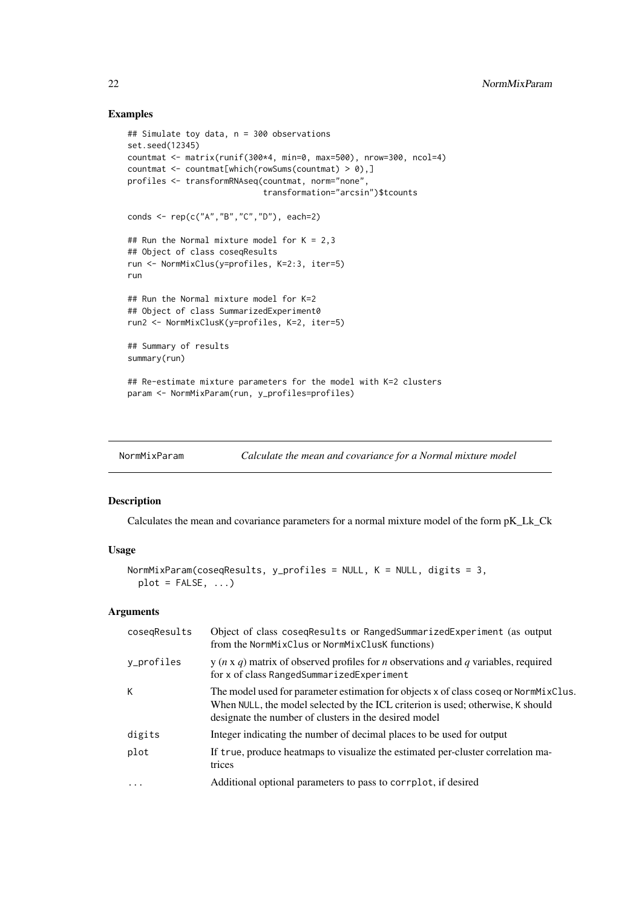## Examples

```
## Simulate toy data, n = 300 observations
set.seed(12345)
countmat <- matrix(runif(300*4, min=0, max=500), nrow=300, ncol=4)
countmat <- countmat[which(rowSums(countmat) > 0),]
profiles <- transformRNAseq(countmat, norm="none",
                            transformation="arcsin")$tcounts
conds <- rep(c("A","B","C","D"), each=2)
## Run the Normal mixture model for K = 2,3## Object of class coseqResults
run <- NormMixClus(y=profiles, K=2:3, iter=5)
run
## Run the Normal mixture model for K=2
## Object of class SummarizedExperiment0
run2 <- NormMixClusK(y=profiles, K=2, iter=5)
## Summary of results
summary(run)
## Re-estimate mixture parameters for the model with K=2 clusters
param <- NormMixParam(run, y_profiles=profiles)
```
## Description

Calculates the mean and covariance parameters for a normal mixture model of the form pK\_Lk\_Ck

#### Usage

```
NormMixParam(coseqResults, y_profiles = NULL, K = NULL, digits = 3,
 plot = FALSE, ...)
```
## Arguments

| cosegResults | Object of class coseqResults or RangedSummarizedExperiment (as output<br>from the NormMixClus or NormMixClusK functions)                                                                                                         |
|--------------|----------------------------------------------------------------------------------------------------------------------------------------------------------------------------------------------------------------------------------|
| v_profiles   | $y(n \times q)$ matrix of observed profiles for <i>n</i> observations and <i>q</i> variables, required<br>for x of class RangedSummarizedExperiment                                                                              |
| К            | The model used for parameter estimation for objects x of class coseq or NormMixClus.<br>When NULL, the model selected by the ICL criterion is used; otherwise, K should<br>designate the number of clusters in the desired model |
| digits       | Integer indicating the number of decimal places to be used for output                                                                                                                                                            |
| plot         | If true, produce heatmaps to visualize the estimated per-cluster correlation ma-<br>trices                                                                                                                                       |
| $\ddotsc$    | Additional optional parameters to pass to corrplot, if desired                                                                                                                                                                   |
|              |                                                                                                                                                                                                                                  |

<span id="page-21-0"></span>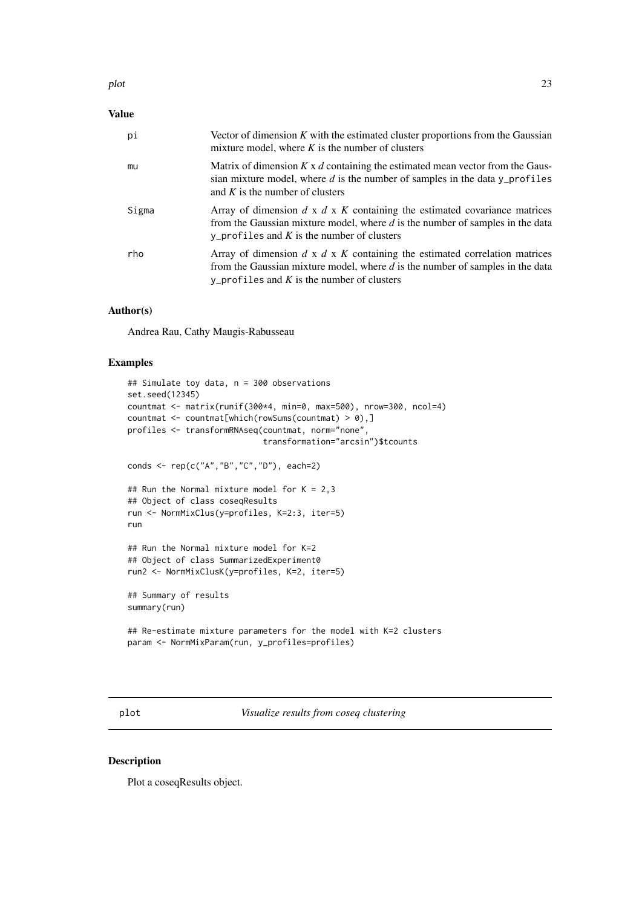#### <span id="page-22-0"></span>plot the contract of the contract of the contract of the contract of the contract of the contract of the contract of the contract of the contract of the contract of the contract of the contract of the contract of the contr

## Value

| pi    | Vector of dimension $K$ with the estimated cluster proportions from the Gaussian<br>mixture model, where $K$ is the number of clusters                                                                                  |
|-------|-------------------------------------------------------------------------------------------------------------------------------------------------------------------------------------------------------------------------|
| mu    | Matrix of dimension $K \times d$ containing the estimated mean vector from the Gaus-<br>sian mixture model, where d is the number of samples in the data $y$ -profiles<br>and K is the number of clusters               |
| Sigma | Array of dimension $d \times d \times K$ containing the estimated covariance matrices<br>from the Gaussian mixture model, where $d$ is the number of samples in the data<br>y_profiles and K is the number of clusters  |
| rho   | Array of dimension $d \times d \times K$ containing the estimated correlation matrices<br>from the Gaussian mixture model, where $d$ is the number of samples in the data<br>y_profiles and K is the number of clusters |

## Author(s)

Andrea Rau, Cathy Maugis-Rabusseau

## Examples

```
## Simulate toy data, n = 300 observations
set.seed(12345)
countmat <- matrix(runif(300*4, min=0, max=500), nrow=300, ncol=4)
countmat \leq countmat[which(rowSums(countmat) > 0),]
profiles <- transformRNAseq(countmat, norm="none",
                            transformation="arcsin")$tcounts
conds <- rep(c("A","B","C","D"), each=2)
## Run the Normal mixture model for K = 2,3## Object of class coseqResults
run <- NormMixClus(y=profiles, K=2:3, iter=5)
run
## Run the Normal mixture model for K=2
## Object of class SummarizedExperiment0
run2 <- NormMixClusK(y=profiles, K=2, iter=5)
```
## Summary of results summary(run)

```
## Re-estimate mixture parameters for the model with K=2 clusters
param <- NormMixParam(run, y_profiles=profiles)
```
plot *Visualize results from coseq clustering*

#### Description

Plot a coseqResults object.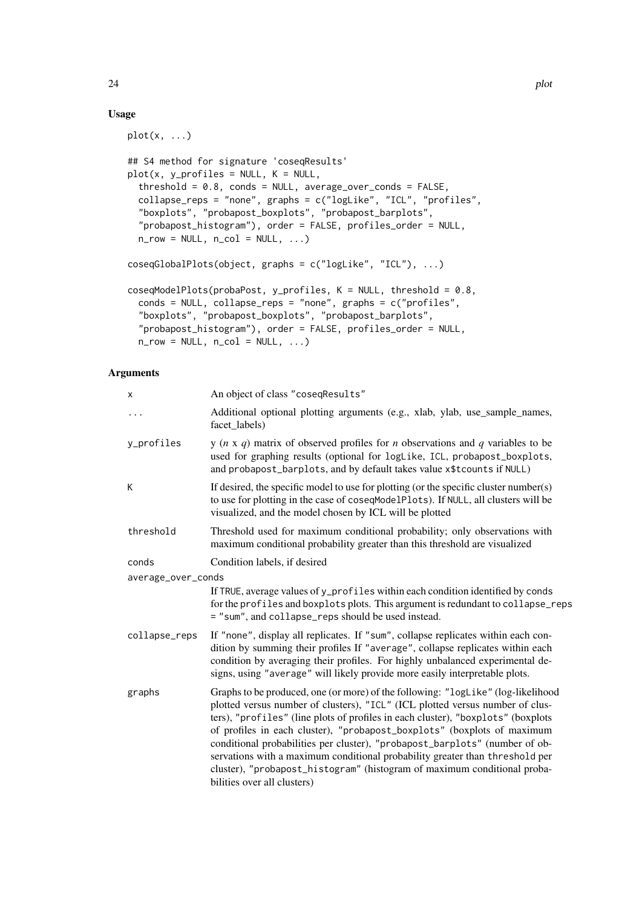## Usage

 $plot(x, \ldots)$ 

```
## S4 method for signature 'coseqResults'
plot(x, y\_profiles = NULL, K = NULL,threshold = 0.8, conds = NULL, average_over_conds = FALSE,
 collapse_reps = "none", graphs = c("logLike", "ICL", "profiles",
  "boxplots", "probapost_boxplots", "probapost_barplots",
 "probapost_histogram"), order = FALSE, profiles_order = NULL,
 n_{row} = NULL, n_{col} = NULL, ...coseqGlobalPlots(object, graphs = c("logLike", "ICL"), ...)
coseqModelPlots(probaPost, y_profiles, K = NULL, threshold = 0.8,
 conds = NULL, collapse_reps = "none", graphs = c("profiles",
  "boxplots", "probapost_boxplots", "probapost_barplots",
 "probapost_histogram"), order = FALSE, profiles_order = NULL,
 n_{row} = NULL, n_{col} = NULL, ...
```
## Arguments

| x                  | An object of class "coseqResults"                                                                                                                                                                                                                                                                                                                                                                                                                                                                                                                                                                          |
|--------------------|------------------------------------------------------------------------------------------------------------------------------------------------------------------------------------------------------------------------------------------------------------------------------------------------------------------------------------------------------------------------------------------------------------------------------------------------------------------------------------------------------------------------------------------------------------------------------------------------------------|
| $\cdots$           | Additional optional plotting arguments (e.g., xlab, ylab, use_sample_names,<br>facet labels)                                                                                                                                                                                                                                                                                                                                                                                                                                                                                                               |
| y_profiles         | y ( $n \times q$ ) matrix of observed profiles for <i>n</i> observations and <i>q</i> variables to be<br>used for graphing results (optional for logLike, ICL, probapost_boxplots,<br>and probapost_barplots, and by default takes value x\$tcounts if NULL)                                                                                                                                                                                                                                                                                                                                               |
| Κ                  | If desired, the specific model to use for plotting (or the specific cluster number(s)<br>to use for plotting in the case of coseqModelPlots). If NULL, all clusters will be<br>visualized, and the model chosen by ICL will be plotted                                                                                                                                                                                                                                                                                                                                                                     |
| threshold          | Threshold used for maximum conditional probability; only observations with<br>maximum conditional probability greater than this threshold are visualized                                                                                                                                                                                                                                                                                                                                                                                                                                                   |
| conds              | Condition labels, if desired                                                                                                                                                                                                                                                                                                                                                                                                                                                                                                                                                                               |
| average_over_conds |                                                                                                                                                                                                                                                                                                                                                                                                                                                                                                                                                                                                            |
|                    | If TRUE, average values of y_profiles within each condition identified by conds<br>for the profiles and boxplots plots. This argument is redundant to collapse_reps<br>= "sum", and collapse_reps should be used instead.                                                                                                                                                                                                                                                                                                                                                                                  |
| collapse_reps      | If "none", display all replicates. If "sum", collapse replicates within each con-<br>dition by summing their profiles If "average", collapse replicates within each<br>condition by averaging their profiles. For highly unbalanced experimental de-<br>signs, using "average" will likely provide more easily interpretable plots.                                                                                                                                                                                                                                                                        |
| graphs             | Graphs to be produced, one (or more) of the following: "logLike" (log-likelihood<br>plotted versus number of clusters), "ICL" (ICL plotted versus number of clus-<br>ters), "profiles" (line plots of profiles in each cluster), "boxplots" (boxplots<br>of profiles in each cluster), "probapost_boxplots" (boxplots of maximum<br>conditional probabilities per cluster), "probapost_barplots" (number of ob-<br>servations with a maximum conditional probability greater than threshold per<br>cluster), "probapost_histogram" (histogram of maximum conditional proba-<br>bilities over all clusters) |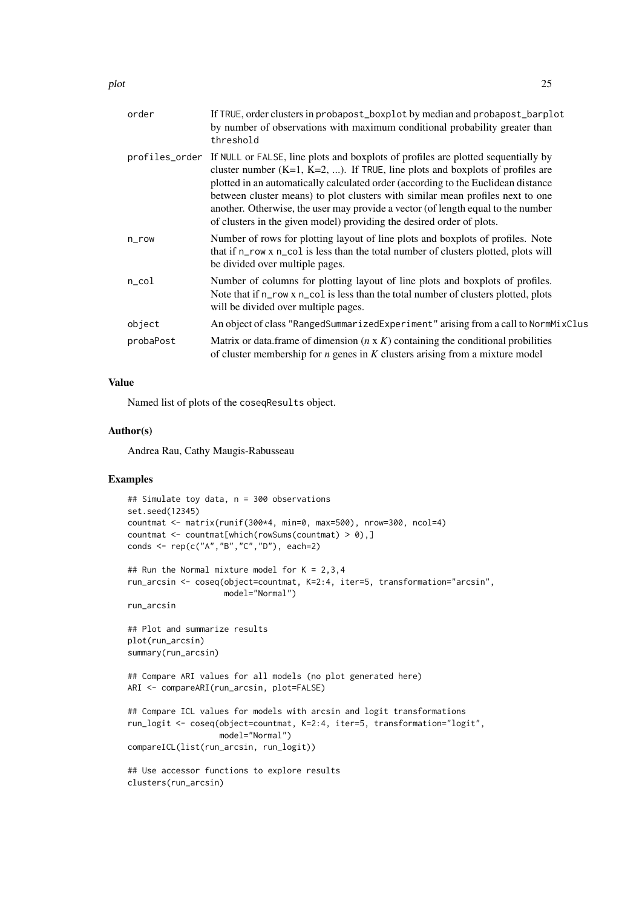| order     | If TRUE, order clusters in probapost_boxplot by median and probapost_barplot<br>by number of observations with maximum conditional probability greater than<br>threshold                                                                                                                                                                                                                                                                                                                                                 |
|-----------|--------------------------------------------------------------------------------------------------------------------------------------------------------------------------------------------------------------------------------------------------------------------------------------------------------------------------------------------------------------------------------------------------------------------------------------------------------------------------------------------------------------------------|
|           | profiles_order If NULL or FALSE, line plots and boxplots of profiles are plotted sequentially by<br>cluster number $(K=1, K=2, )$ . If TRUE, line plots and boxplots of profiles are<br>plotted in an automatically calculated order (according to the Euclidean distance<br>between cluster means) to plot clusters with similar mean profiles next to one<br>another. Otherwise, the user may provide a vector (of length equal to the number<br>of clusters in the given model) providing the desired order of plots. |
| $n$ _row  | Number of rows for plotting layout of line plots and boxplots of profiles. Note<br>that if n_row x n_col is less than the total number of clusters plotted, plots will<br>be divided over multiple pages.                                                                                                                                                                                                                                                                                                                |
| n_col     | Number of columns for plotting layout of line plots and boxplots of profiles.<br>Note that if n_row x n_col is less than the total number of clusters plotted, plots<br>will be divided over multiple pages.                                                                                                                                                                                                                                                                                                             |
| object    | An object of class "RangedSummarizedExperiment" arising from a call to NormMixClus                                                                                                                                                                                                                                                                                                                                                                                                                                       |
| probaPost | Matrix or data.frame of dimension $(n \times K)$ containing the conditional probilities<br>of cluster membership for $n$ genes in $K$ clusters arising from a mixture model                                                                                                                                                                                                                                                                                                                                              |
|           |                                                                                                                                                                                                                                                                                                                                                                                                                                                                                                                          |

## Value

Named list of plots of the coseqResults object.

## Author(s)

Andrea Rau, Cathy Maugis-Rabusseau

## Examples

```
## Simulate toy data, n = 300 observations
set.seed(12345)
countmat <- matrix(runif(300*4, min=0, max=500), nrow=300, ncol=4)
countmat \leq countmat[which(rowSums(countmat) > 0),]
conds <- rep(c("A","B","C","D"), each=2)
## Run the Normal mixture model for K = 2,3,4
```

```
run_arcsin <- coseq(object=countmat, K=2:4, iter=5, transformation="arcsin",
                   model="Normal")
```
run\_arcsin

```
## Plot and summarize results
plot(run_arcsin)
summary(run_arcsin)
```

```
## Compare ARI values for all models (no plot generated here)
ARI <- compareARI(run_arcsin, plot=FALSE)
```

```
## Compare ICL values for models with arcsin and logit transformations
run_logit <- coseq(object=countmat, K=2:4, iter=5, transformation="logit",
                  model="Normal")
compareICL(list(run_arcsin, run_logit))
```

```
## Use accessor functions to explore results
clusters(run_arcsin)
```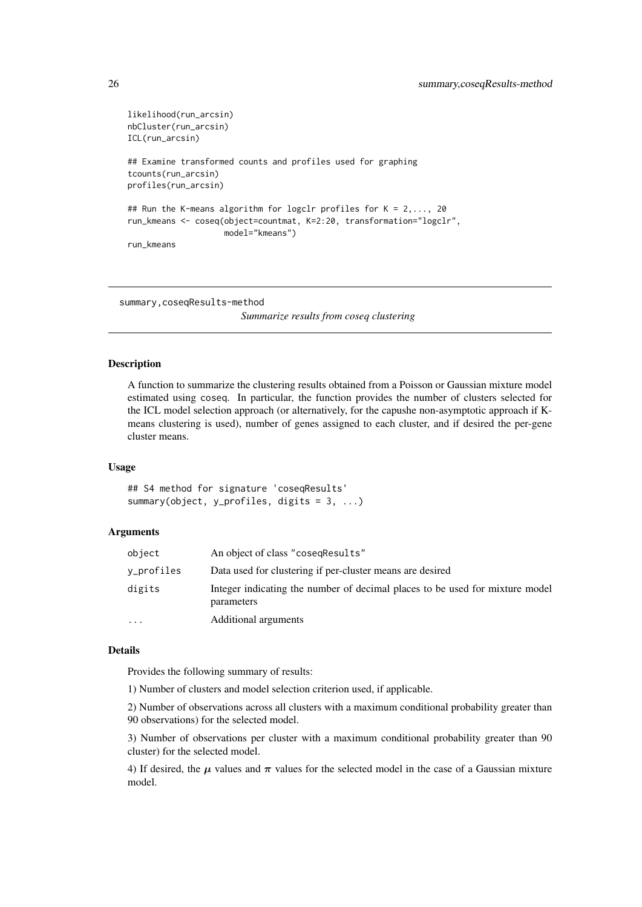```
likelihood(run_arcsin)
nbCluster(run_arcsin)
ICL(run_arcsin)
## Examine transformed counts and profiles used for graphing
tcounts(run_arcsin)
profiles(run_arcsin)
## Run the K-means algorithm for logclr profiles for K = 2,..., 20
run kmeans <- coseq(object=countmat, K=2:20, transformation="logclr",
                    model="kmeans")
run_kmeans
```
summary,coseqResults-method *Summarize results from coseq clustering*

## Description

A function to summarize the clustering results obtained from a Poisson or Gaussian mixture model estimated using coseq. In particular, the function provides the number of clusters selected for the ICL model selection approach (or alternatively, for the capushe non-asymptotic approach if Kmeans clustering is used), number of genes assigned to each cluster, and if desired the per-gene cluster means.

## Usage

## S4 method for signature 'coseqResults' summary(object, y\_profiles, digits = 3, ...)

#### Arguments

| object     | An object of class "cosegResults"                                                          |
|------------|--------------------------------------------------------------------------------------------|
| v_profiles | Data used for clustering if per-cluster means are desired                                  |
| digits     | Integer indicating the number of decimal places to be used for mixture model<br>parameters |
| $\ddotsc$  | Additional arguments                                                                       |

#### Details

Provides the following summary of results:

1) Number of clusters and model selection criterion used, if applicable.

2) Number of observations across all clusters with a maximum conditional probability greater than 90 observations) for the selected model.

3) Number of observations per cluster with a maximum conditional probability greater than 90 cluster) for the selected model.

4) If desired, the  $\mu$  values and  $\pi$  values for the selected model in the case of a Gaussian mixture model.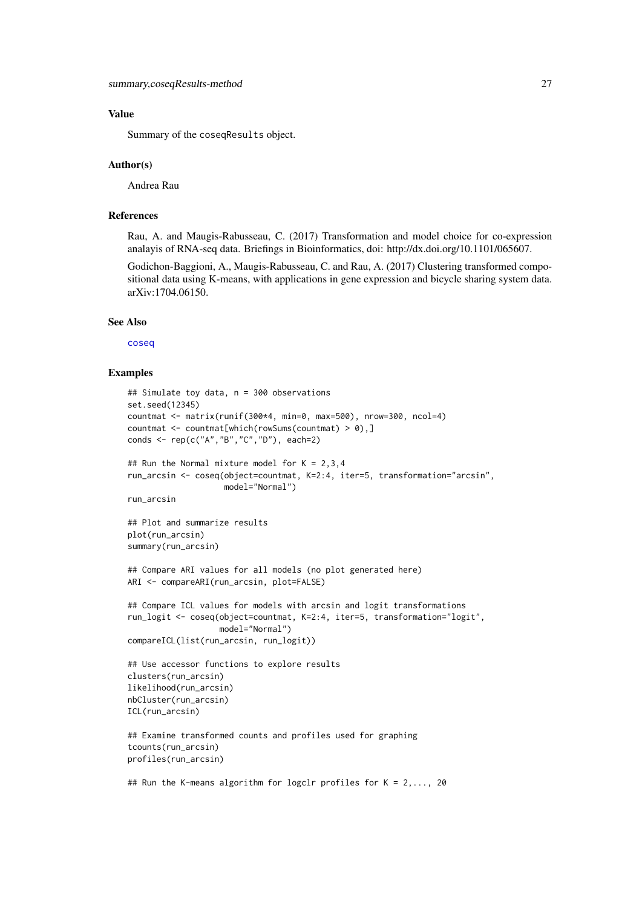#### <span id="page-26-0"></span>Value

Summary of the coseqResults object.

#### Author(s)

Andrea Rau

#### References

Rau, A. and Maugis-Rabusseau, C. (2017) Transformation and model choice for co-expression analayis of RNA-seq data. Briefings in Bioinformatics, doi: http://dx.doi.org/10.1101/065607.

Godichon-Baggioni, A., Maugis-Rabusseau, C. and Rau, A. (2017) Clustering transformed compositional data using K-means, with applications in gene expression and bicycle sharing system data. arXiv:1704.06150.

#### See Also

[coseq](#page-8-1)

```
## Simulate toy data, n = 300 observations
set.seed(12345)
countmat <- matrix(runif(300*4, min=0, max=500), nrow=300, ncol=4)
countmat \leq countmat[which(rowSums(countmat) > 0),]
conds <- rep(c("A","B","C","D"), each=2)
## Run the Normal mixture model for K = 2,3,4
run_arcsin <- coseq(object=countmat, K=2:4, iter=5, transformation="arcsin",
                    model="Normal")
run_arcsin
## Plot and summarize results
plot(run_arcsin)
summary(run_arcsin)
## Compare ARI values for all models (no plot generated here)
ARI <- compareARI(run_arcsin, plot=FALSE)
## Compare ICL values for models with arcsin and logit transformations
run_logit <- coseq(object=countmat, K=2:4, iter=5, transformation="logit",
                   model="Normal")
compareICL(list(run_arcsin, run_logit))
## Use accessor functions to explore results
clusters(run_arcsin)
likelihood(run_arcsin)
nbCluster(run_arcsin)
ICL(run_arcsin)
## Examine transformed counts and profiles used for graphing
tcounts(run_arcsin)
profiles(run_arcsin)
```

```
## Run the K-means algorithm for logclr profiles for K = 2,..., 20
```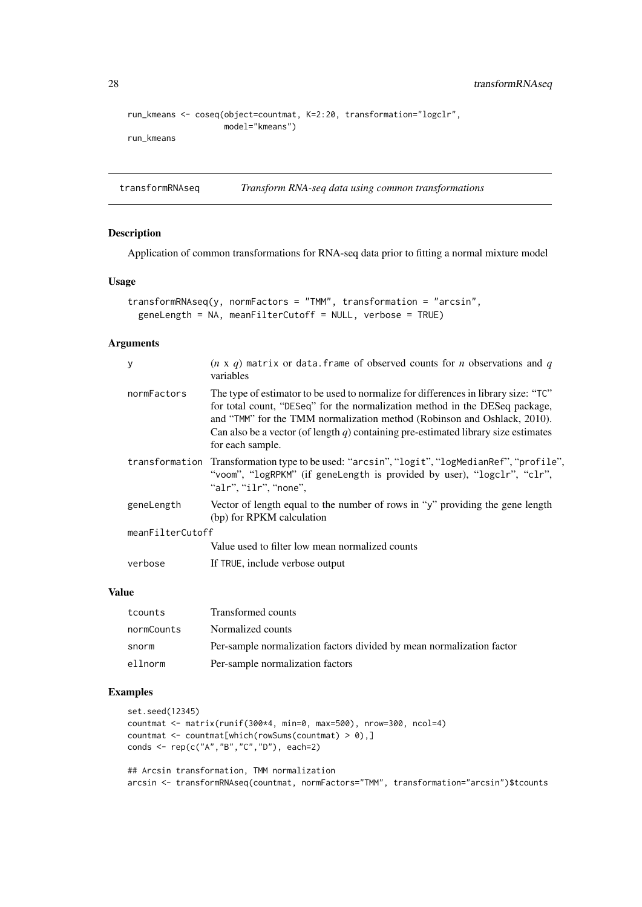```
run_kmeans <- coseq(object=countmat, K=2:20, transformation="logclr",
                    model="kmeans")
run_kmeans
```
transformRNAseq *Transform RNA-seq data using common transformations*

## Description

Application of common transformations for RNA-seq data prior to fitting a normal mixture model

## Usage

```
transformRNAseq(y, normFactors = "TMM", transformation = "arcsin",
 geneLength = NA, meanFilterCutoff = NULL, verbose = TRUE)
```
## Arguments

| y                | $(n \times q)$ matrix or data. frame of observed counts for <i>n</i> observations and <i>q</i><br>variables                                                                                                                                                                                                                                              |  |
|------------------|----------------------------------------------------------------------------------------------------------------------------------------------------------------------------------------------------------------------------------------------------------------------------------------------------------------------------------------------------------|--|
| normFactors      | The type of estimator to be used to normalize for differences in library size: "TC"<br>for total count, "DESeq" for the normalization method in the DESeq package,<br>and "TMM" for the TMM normalization method (Robinson and Oshlack, 2010).<br>Can also be a vector (of length q) containing pre-estimated library size estimates<br>for each sample. |  |
|                  | transformation Transformation type to be used: "arcsin", "logit", "logMedianRef", "profile",<br>"voom", "logRPKM" (if geneLength is provided by user), "logclr", "clr",<br>"alr", "ilr", "none",                                                                                                                                                         |  |
| geneLength       | Vector of length equal to the number of rows in "y" providing the gene length<br>(bp) for RPKM calculation                                                                                                                                                                                                                                               |  |
| meanFilterCutoff |                                                                                                                                                                                                                                                                                                                                                          |  |
|                  | Value used to filter low mean normalized counts                                                                                                                                                                                                                                                                                                          |  |
| verbose          | If TRUE, include verbose output                                                                                                                                                                                                                                                                                                                          |  |
|                  |                                                                                                                                                                                                                                                                                                                                                          |  |

#### Value

| tcounts    | Transformed counts                                                    |
|------------|-----------------------------------------------------------------------|
| normCounts | Normalized counts                                                     |
| snorm      | Per-sample normalization factors divided by mean normalization factor |
| ellnorm    | Per-sample normalization factors                                      |

## Examples

```
set.seed(12345)
countmat <- matrix(runif(300*4, min=0, max=500), nrow=300, ncol=4)
countmat \leq countmat[which(rowSums(countmat) > 0),]
conds <- rep(c("A","B","C","D"), each=2)
## Arcsin transformation, TMM normalization
```
arcsin <- transformRNAseq(countmat, normFactors="TMM", transformation="arcsin")\$tcounts

<span id="page-27-0"></span>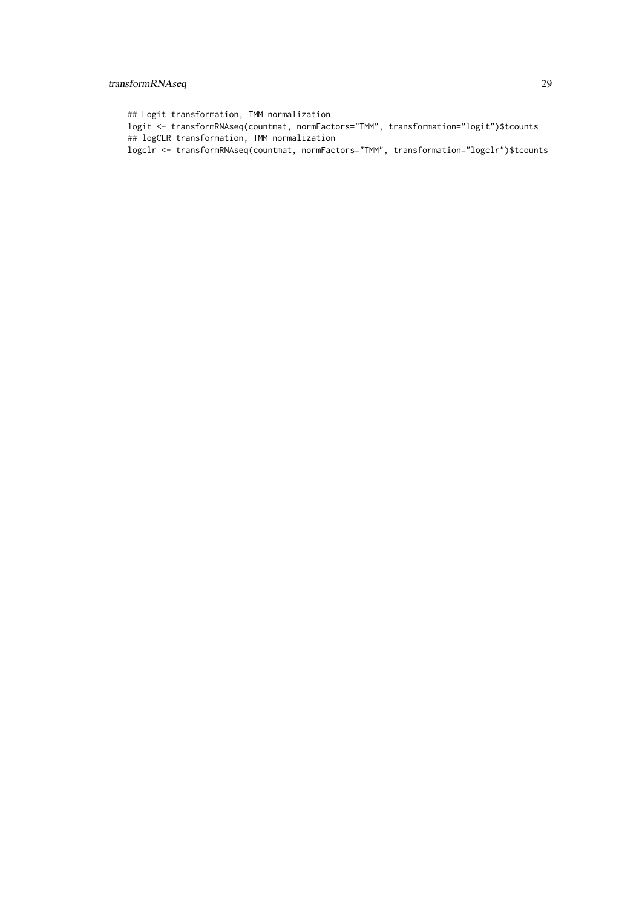## transformRNAseq 29

## Logit transformation, TMM normalization logit <- transformRNAseq(countmat, normFactors="TMM", transformation="logit")\$tcounts ## logCLR transformation, TMM normalization logclr <- transformRNAseq(countmat, normFactors="TMM", transformation="logclr")\$tcounts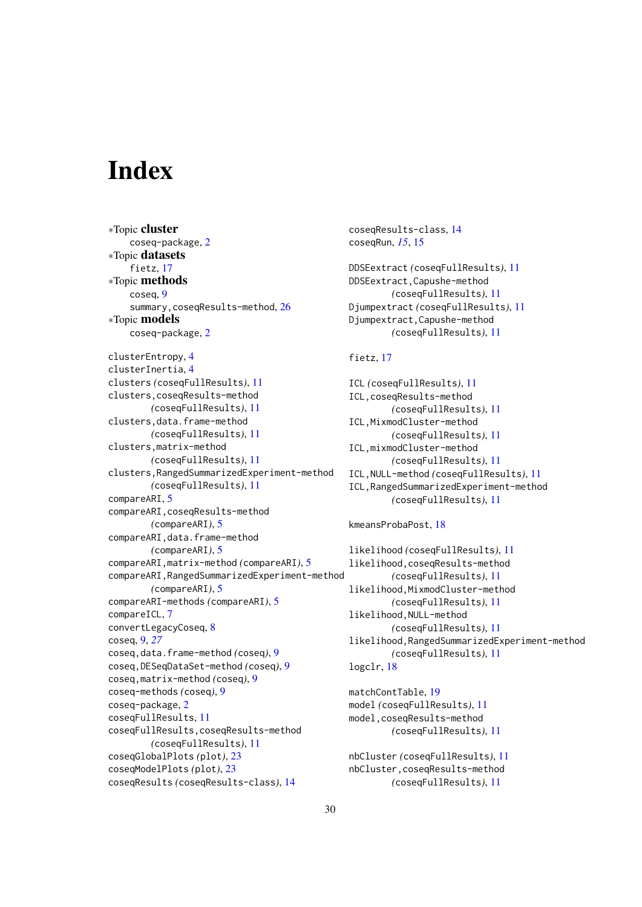# <span id="page-29-0"></span>Index

∗Topic cluster coseq-package, [2](#page-1-0) ∗Topic datasets fietz, [17](#page-16-0) ∗Topic methods coseq, [9](#page-8-0) summary, coseqResults-method, [26](#page-25-0) ∗Topic models coseq-package, [2](#page-1-0) clusterEntropy, [4](#page-3-0) clusterInertia, [4](#page-3-0) clusters *(*coseqFullResults*)*, [11](#page-10-0) clusters,coseqResults-method *(*coseqFullResults*)*, [11](#page-10-0) clusters,data.frame-method *(*coseqFullResults*)*, [11](#page-10-0) clusters,matrix-method *(*coseqFullResults*)*, [11](#page-10-0) clusters,RangedSummarizedExperiment-method *(*coseqFullResults*)*, [11](#page-10-0) compareARI, [5](#page-4-0) compareARI,coseqResults-method *(*compareARI*)*, [5](#page-4-0) compareARI,data.frame-method *(*compareARI*)*, [5](#page-4-0) compareARI,matrix-method *(*compareARI*)*, [5](#page-4-0) compareARI,RangedSummarizedExperiment-method *(*compareARI*)*, [5](#page-4-0) compareARI-methods *(*compareARI*)*, [5](#page-4-0) compareICL, [7](#page-6-0) convertLegacyCoseq, [8](#page-7-0) coseq, [9,](#page-8-0) *[27](#page-26-0)* coseq,data.frame-method *(*coseq*)*, [9](#page-8-0) coseq,DESeqDataSet-method *(*coseq*)*, [9](#page-8-0) coseq,matrix-method *(*coseq*)*, [9](#page-8-0) coseq-methods *(*coseq*)*, [9](#page-8-0) coseq-package, [2](#page-1-0) coseqFullResults, [11](#page-10-0) coseqFullResults,coseqResults-method *(*coseqFullResults*)*, [11](#page-10-0) coseqGlobalPlots *(*plot*)*, [23](#page-22-0) coseqModelPlots *(*plot*)*, [23](#page-22-0) coseqResults *(*coseqResults-class*)*, [14](#page-13-0)

```
coseqResults-class, 14
coseqRun, 15, 15
DDSEextract (coseqFullResults), 11
DDSEextract,Capushe-method
        (coseqFullResults), 11
Djumpextract (coseqFullResults), 11
Djumpextract,Capushe-method
        (coseqFullResults), 11
```
## fietz, [17](#page-16-0)

ICL *(*coseqFullResults*)*, [11](#page-10-0) ICL,coseqResults-method *(*coseqFullResults*)*, [11](#page-10-0) ICL,MixmodCluster-method *(*coseqFullResults*)*, [11](#page-10-0) ICL,mixmodCluster-method *(*coseqFullResults*)*, [11](#page-10-0) ICL,NULL-method *(*coseqFullResults*)*, [11](#page-10-0) ICL,RangedSummarizedExperiment-method *(*coseqFullResults*)*, [11](#page-10-0)

kmeansProbaPost, [18](#page-17-0)

```
likelihood (coseqFullResults), 11
likelihood,coseqResults-method
        (coseqFullResults), 11
likelihood,MixmodCluster-method
        (coseqFullResults), 11
likelihood,NULL-method
        (coseqFullResults), 11
likelihood,RangedSummarizedExperiment-method
        (coseqFullResults), 11
logclr, 18
```
matchContTable, [19](#page-18-0) model *(*coseqFullResults*)*, [11](#page-10-0) model,coseqResults-method *(*coseqFullResults*)*, [11](#page-10-0)

```
nbCluster (coseqFullResults), 11
nbCluster,coseqResults-method
        (coseqFullResults), 11
```